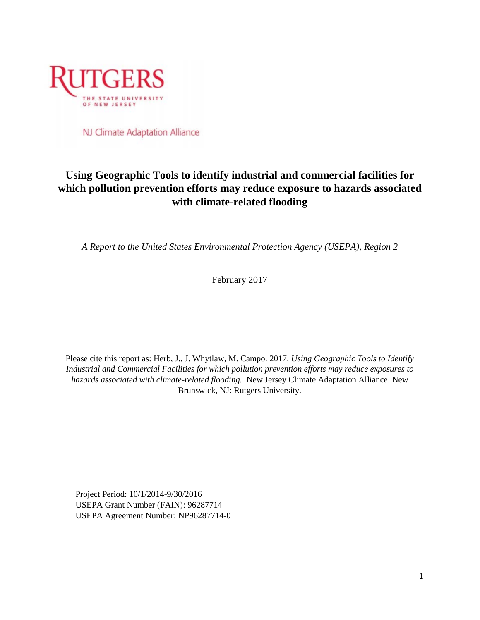

NJ Climate Adaptation Alliance

## **Using Geographic Tools to identify industrial and commercial facilities for which pollution prevention efforts may reduce exposure to hazards associated with climate-related flooding**

*A Report to the United States Environmental Protection Agency (USEPA), Region 2*

February 2017

Please cite this report as: Herb, J., J. Whytlaw, M. Campo. 2017. *Using Geographic Tools to Identify Industrial and Commercial Facilities for which pollution prevention efforts may reduce exposures to hazards associated with climate-related flooding.* New Jersey Climate Adaptation Alliance. New Brunswick, NJ: Rutgers University.

Project Period: 10/1/2014-9/30/2016 USEPA Grant Number (FAIN): 96287714 USEPA Agreement Number: NP96287714-0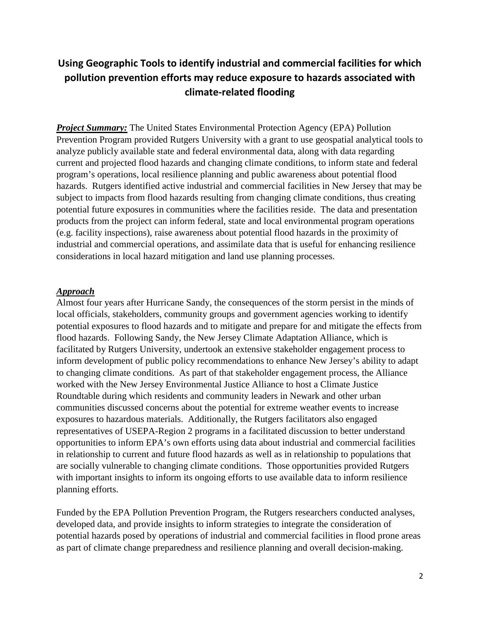# **Using Geographic Tools to identify industrial and commercial facilities for which pollution prevention efforts may reduce exposure to hazards associated with climate-related flooding**

*Project Summary:* The United States Environmental Protection Agency (EPA) Pollution Prevention Program provided Rutgers University with a grant to use geospatial analytical tools to analyze publicly available state and federal environmental data, along with data regarding current and projected flood hazards and changing climate conditions, to inform state and federal program's operations, local resilience planning and public awareness about potential flood hazards. Rutgers identified active industrial and commercial facilities in New Jersey that may be subject to impacts from flood hazards resulting from changing climate conditions, thus creating potential future exposures in communities where the facilities reside. The data and presentation products from the project can inform federal, state and local environmental program operations (e.g. facility inspections), raise awareness about potential flood hazards in the proximity of industrial and commercial operations, and assimilate data that is useful for enhancing resilience considerations in local hazard mitigation and land use planning processes.

#### *Approach*

Almost four years after Hurricane Sandy, the consequences of the storm persist in the minds of local officials, stakeholders, community groups and government agencies working to identify potential exposures to flood hazards and to mitigate and prepare for and mitigate the effects from flood hazards. Following Sandy, the New Jersey Climate Adaptation Alliance, which is facilitated by Rutgers University, undertook an extensive stakeholder engagement process to inform development of public policy recommendations to enhance New Jersey's ability to adapt to changing climate conditions. As part of that stakeholder engagement process, the Alliance worked with the New Jersey Environmental Justice Alliance to host a Climate Justice Roundtable during which residents and community leaders in Newark and other urban communities discussed concerns about the potential for extreme weather events to increase exposures to hazardous materials. Additionally, the Rutgers facilitators also engaged representatives of USEPA-Region 2 programs in a facilitated discussion to better understand opportunities to inform EPA's own efforts using data about industrial and commercial facilities in relationship to current and future flood hazards as well as in relationship to populations that are socially vulnerable to changing climate conditions. Those opportunities provided Rutgers with important insights to inform its ongoing efforts to use available data to inform resilience planning efforts.

Funded by the EPA Pollution Prevention Program, the Rutgers researchers conducted analyses, developed data, and provide insights to inform strategies to integrate the consideration of potential hazards posed by operations of industrial and commercial facilities in flood prone areas as part of climate change preparedness and resilience planning and overall decision-making.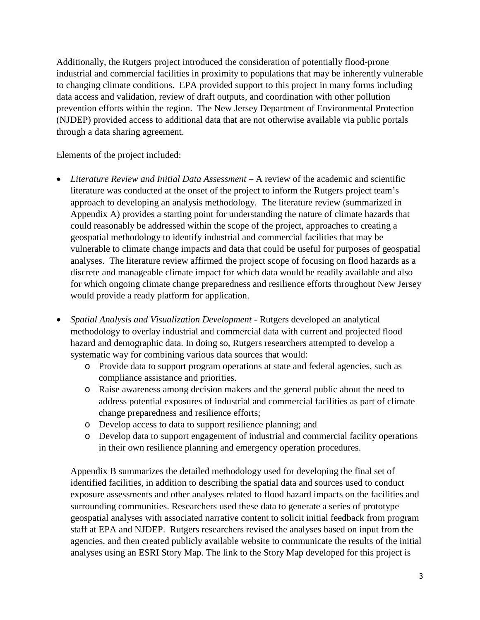Additionally, the Rutgers project introduced the consideration of potentially flood-prone industrial and commercial facilities in proximity to populations that may be inherently vulnerable to changing climate conditions. EPA provided support to this project in many forms including data access and validation, review of draft outputs, and coordination with other pollution prevention efforts within the region. The New Jersey Department of Environmental Protection (NJDEP) provided access to additional data that are not otherwise available via public portals through a data sharing agreement.

Elements of the project included:

- *Literature Review and Initial Data Assessment* A review of the academic and scientific literature was conducted at the onset of the project to inform the Rutgers project team's approach to developing an analysis methodology. The literature review (summarized in Appendix A) provides a starting point for understanding the nature of climate hazards that could reasonably be addressed within the scope of the project, approaches to creating a geospatial methodology to identify industrial and commercial facilities that may be vulnerable to climate change impacts and data that could be useful for purposes of geospatial analyses. The literature review affirmed the project scope of focusing on flood hazards as a discrete and manageable climate impact for which data would be readily available and also for which ongoing climate change preparedness and resilience efforts throughout New Jersey would provide a ready platform for application.
- *Spatial Analysis and Visualization Development* Rutgers developed an analytical methodology to overlay industrial and commercial data with current and projected flood hazard and demographic data. In doing so, Rutgers researchers attempted to develop a systematic way for combining various data sources that would:
	- o Provide data to support program operations at state and federal agencies, such as compliance assistance and priorities.
	- o Raise awareness among decision makers and the general public about the need to address potential exposures of industrial and commercial facilities as part of climate change preparedness and resilience efforts;
	- o Develop access to data to support resilience planning; and
	- o Develop data to support engagement of industrial and commercial facility operations in their own resilience planning and emergency operation procedures.

Appendix B summarizes the detailed methodology used for developing the final set of identified facilities, in addition to describing the spatial data and sources used to conduct exposure assessments and other analyses related to flood hazard impacts on the facilities and surrounding communities. Researchers used these data to generate a series of prototype geospatial analyses with associated narrative content to solicit initial feedback from program staff at EPA and NJDEP. Rutgers researchers revised the analyses based on input from the agencies, and then created publicly available website to communicate the results of the initial analyses using an ESRI Story Map. The link to the Story Map developed for this project is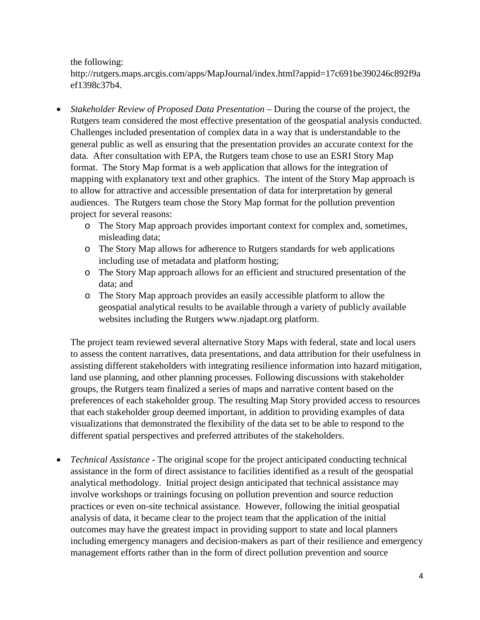the following:

[http://rutgers.maps.arcgis.com/apps/MapJournal/index.html?appid=17c691be390246c892f9a](http://rutgers.maps.arcgis.com/apps/MapJournal/index.html?appid=17c691be390246c892f9aef1398c37b4) [ef1398c37b4.](http://rutgers.maps.arcgis.com/apps/MapJournal/index.html?appid=17c691be390246c892f9aef1398c37b4)

- *Stakeholder Review of Proposed Data Presentation* During the course of the project, the Rutgers team considered the most effective presentation of the geospatial analysis conducted. Challenges included presentation of complex data in a way that is understandable to the general public as well as ensuring that the presentation provides an accurate context for the data. After consultation with EPA, the Rutgers team chose to use an ESRI Story Map format. The Story Map format is a web application that allows for the integration of mapping with explanatory text and other graphics. The intent of the Story Map approach is to allow for attractive and accessible presentation of data for interpretation by general audiences. The Rutgers team chose the Story Map format for the pollution prevention project for several reasons:
	- o The Story Map approach provides important context for complex and, sometimes, misleading data;
	- o The Story Map allows for adherence to Rutgers standards for web applications including use of metadata and platform hosting;
	- o The Story Map approach allows for an efficient and structured presentation of the data; and
	- o The Story Map approach provides an easily accessible platform to allow the geospatial analytical results to be available through a variety of publicly available websites including the Rutgers [www.njadapt.org](http://www.njadapt.org/) platform.

The project team reviewed several alternative Story Maps with federal, state and local users to assess the content narratives, data presentations, and data attribution for their usefulness in assisting different stakeholders with integrating resilience information into hazard mitigation, land use planning, and other planning processes. Following discussions with stakeholder groups, the Rutgers team finalized a series of maps and narrative content based on the preferences of each stakeholder group. The resulting Map Story provided access to resources that each stakeholder group deemed important, in addition to providing examples of data visualizations that demonstrated the flexibility of the data set to be able to respond to the different spatial perspectives and preferred attributes of the stakeholders.

• *Technical Assistance* - The original scope for the project anticipated conducting technical assistance in the form of direct assistance to facilities identified as a result of the geospatial analytical methodology. Initial project design anticipated that technical assistance may involve workshops or trainings focusing on pollution prevention and source reduction practices or even on-site technical assistance. However, following the initial geospatial analysis of data, it became clear to the project team that the application of the initial outcomes may have the greatest impact in providing support to state and local planners including emergency managers and decision-makers as part of their resilience and emergency management efforts rather than in the form of direct pollution prevention and source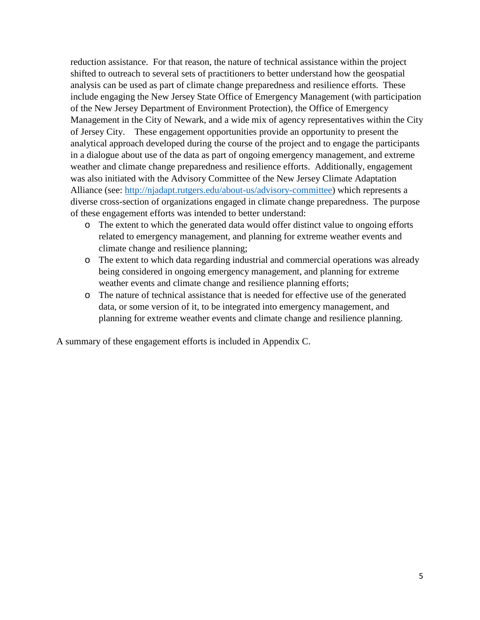reduction assistance. For that reason, the nature of technical assistance within the project shifted to outreach to several sets of practitioners to better understand how the geospatial analysis can be used as part of climate change preparedness and resilience efforts. These include engaging the New Jersey State Office of Emergency Management (with participation of the New Jersey Department of Environment Protection), the Office of Emergency Management in the City of Newark, and a wide mix of agency representatives within the City of Jersey City. These engagement opportunities provide an opportunity to present the analytical approach developed during the course of the project and to engage the participants in a dialogue about use of the data as part of ongoing emergency management, and extreme weather and climate change preparedness and resilience efforts. Additionally, engagement was also initiated with the Advisory Committee of the New Jersey Climate Adaptation Alliance (see: [http://njadapt.rutgers.edu/about-us/advisory-committee\)](http://njadapt.rutgers.edu/about-us/advisory-committee) which represents a diverse cross-section of organizations engaged in climate change preparedness. The purpose of these engagement efforts was intended to better understand:

- o The extent to which the generated data would offer distinct value to ongoing efforts related to emergency management, and planning for extreme weather events and climate change and resilience planning;
- o The extent to which data regarding industrial and commercial operations was already being considered in ongoing emergency management, and planning for extreme weather events and climate change and resilience planning efforts;
- o The nature of technical assistance that is needed for effective use of the generated data, or some version of it, to be integrated into emergency management, and planning for extreme weather events and climate change and resilience planning.

A summary of these engagement efforts is included in Appendix C.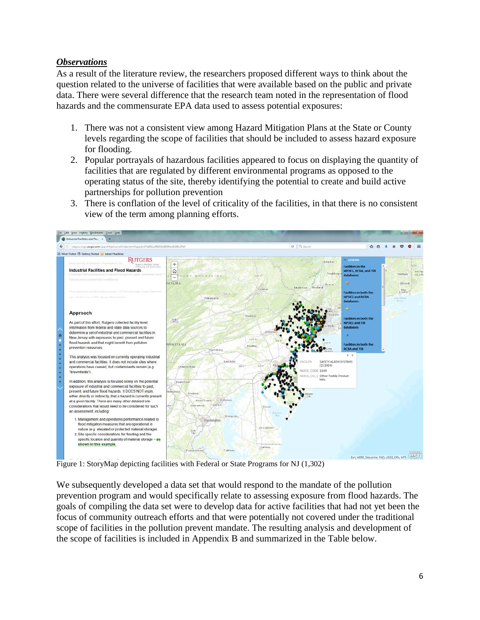#### *Observations*

As a result of the literature review, the researchers proposed different ways to think about the question related to the universe of facilities that were available based on the public and private data. There were several difference that the research team noted in the representation of flood hazards and the commensurate EPA data used to assess potential exposures:

- 1. There was not a consistent view among Hazard Mitigation Plans at the State or County levels regarding the scope of facilities that should be included to assess hazard exposure for flooding.
- 2. Popular portrayals of hazardous facilities appeared to focus on displaying the quantity of facilities that are regulated by different environmental programs as opposed to the operating status of the site, thereby identifying the potential to create and build active partnerships for pollution prevention
- 3. There is conflation of the level of criticality of the facilities, in that there is no consistent view of the term among planning efforts.



Figure 1: StoryMap depicting facilities with Federal or State Programs for NJ (1,302)

We subsequently developed a data set that would respond to the mandate of the pollution prevention program and would specifically relate to assessing exposure from flood hazards. The goals of compiling the data set were to develop data for active facilities that had not yet been the focus of community outreach efforts and that were potentially not covered under the traditional scope of facilities in the pollution prevent mandate. The resulting analysis and development of the scope of facilities is included in Appendix B and summarized in the Table below.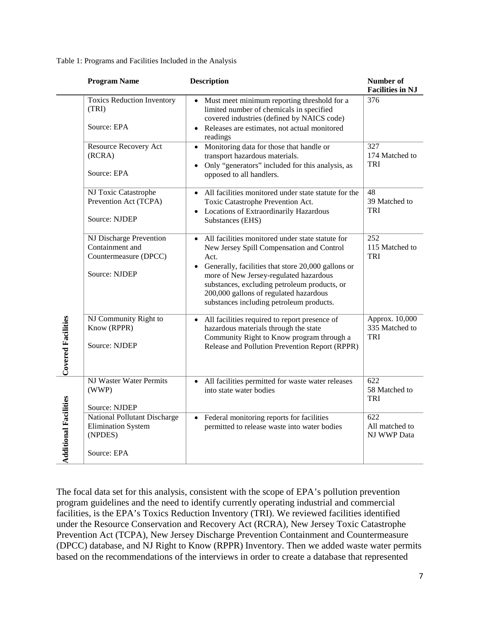Table 1: Programs and Facilities Included in the Analysis

|                              | <b>Program Name</b>                                                                         | <b>Description</b>                                                                                                                                                                                                                                                                                                                                       | Number of<br><b>Facilities in NJ</b>           |
|------------------------------|---------------------------------------------------------------------------------------------|----------------------------------------------------------------------------------------------------------------------------------------------------------------------------------------------------------------------------------------------------------------------------------------------------------------------------------------------------------|------------------------------------------------|
|                              | <b>Toxics Reduction Inventory</b><br>(TRI)<br>Source: EPA                                   | Must meet minimum reporting threshold for a<br>limited number of chemicals in specified<br>covered industries (defined by NAICS code)<br>Releases are estimates, not actual monitored<br>readings                                                                                                                                                        | 376                                            |
|                              | Resource Recovery Act<br>(RCRA)<br>Source: EPA                                              | • Monitoring data for those that handle or<br>transport hazardous materials.<br>Only "generators" included for this analysis, as<br>opposed to all handlers.                                                                                                                                                                                             | 327<br>174 Matched to<br>TRI                   |
|                              | NJ Toxic Catastrophe<br>Prevention Act (TCPA)<br>Source: NJDEP                              | All facilities monitored under state statute for the<br>Toxic Catastrophe Prevention Act.<br>• Locations of Extraordinarily Hazardous<br>Substances (EHS)                                                                                                                                                                                                | 48<br>39 Matched to<br><b>TRI</b>              |
|                              | NJ Discharge Prevention<br>Containment and<br>Countermeasure (DPCC)<br><b>Source: NJDEP</b> | All facilities monitored under state statute for<br>$\bullet$<br>New Jersey Spill Compensation and Control<br>Act.<br>Generally, facilities that store 20,000 gallons or<br>more of New Jersey-regulated hazardous<br>substances, excluding petroleum products, or<br>200,000 gallons of regulated hazardous<br>substances including petroleum products. | 252<br>115 Matched to<br>TRI                   |
| <b>Covered Facilities</b>    | NJ Community Right to<br>Know (RPPR)<br><b>Source: NJDEP</b>                                | All facilities required to report presence of<br>$\bullet$<br>hazardous materials through the state<br>Community Right to Know program through a<br>Release and Pollution Prevention Report (RPPR)                                                                                                                                                       | Approx. 10,000<br>335 Matched to<br><b>TRI</b> |
| <b>Additional Facilities</b> | NJ Waster Water Permits<br>(WWP)<br>Source: NJDEP                                           | All facilities permitted for waste water releases<br>into state water bodies                                                                                                                                                                                                                                                                             | 622<br>58 Matched to<br>TRI                    |
|                              | National Pollutant Discharge<br><b>Elimination System</b><br>(NPDES)<br>Source: EPA         | Federal monitoring reports for facilities<br>permitted to release waste into water bodies                                                                                                                                                                                                                                                                | 622<br>All matched to<br>NJ WWP Data           |

The focal data set for this analysis, consistent with the scope of EPA's pollution prevention program guidelines and the need to identify currently operating industrial and commercial facilities, is the EPA's Toxics Reduction Inventory (TRI). We reviewed facilities identified under the Resource Conservation and Recovery Act (RCRA), New Jersey Toxic Catastrophe Prevention Act (TCPA), New Jersey Discharge Prevention Containment and Countermeasure (DPCC) database, and NJ Right to Know (RPPR) Inventory. Then we added waste water permits based on the recommendations of the interviews in order to create a database that represented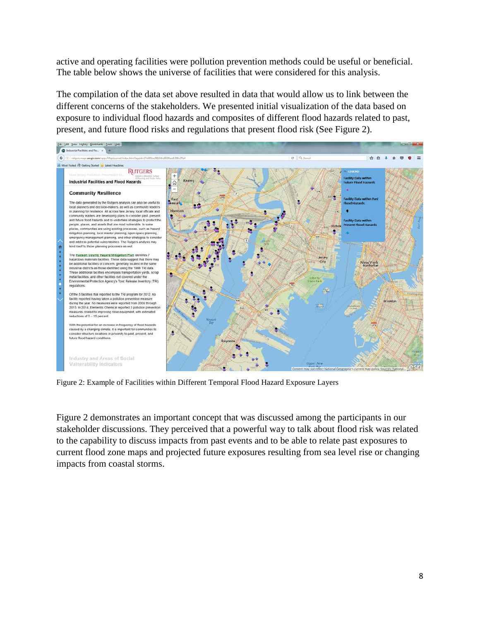active and operating facilities were pollution prevention methods could be useful or beneficial. The table below shows the universe of facilities that were considered for this analysis.

The compilation of the data set above resulted in data that would allow us to link between the different concerns of the stakeholders. We presented initial visualization of the data based on exposure to individual flood hazards and composites of different flood hazards related to past, present, and future flood risks and regulations that present flood risk (See Figure 2).



Figure 2: Example of Facilities within Different Temporal Flood Hazard Exposure Layers

Figure 2 demonstrates an important concept that was discussed among the participants in our stakeholder discussions. They perceived that a powerful way to talk about flood risk was related to the capability to discuss impacts from past events and to be able to relate past exposures to current flood zone maps and projected future exposures resulting from sea level rise or changing impacts from coastal storms.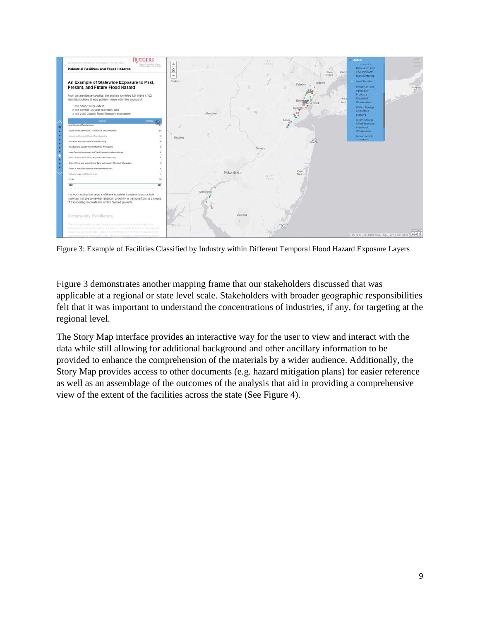

Figure 3: Example of Facilities Classified by Industry within Different Temporal Flood Hazard Exposure Layers

Figure 3 demonstrates another mapping frame that our stakeholders discussed that was applicable at a regional or state level scale. Stakeholders with broader geographic responsibilities felt that it was important to understand the concentrations of industries, if any, for targeting at the regional level.

The Story Map interface provides an interactive way for the user to view and interact with the data while still allowing for additional background and other ancillary information to be provided to enhance the comprehension of the materials by a wider audience. Additionally, the Story Map provides access to other documents (e.g. hazard mitigation plans) for easier reference as well as an assemblage of the outcomes of the analysis that aid in providing a comprehensive view of the extent of the facilities across the state (See Figure 4).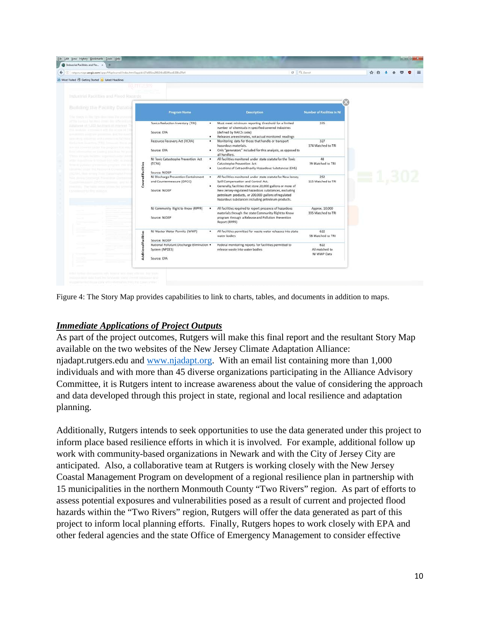| Industrial Facilities and Flo x +                                                                         |                                                                                        |                                                                                                                                                                                                                                 |                                      |               |  |  |
|-----------------------------------------------------------------------------------------------------------|----------------------------------------------------------------------------------------|---------------------------------------------------------------------------------------------------------------------------------------------------------------------------------------------------------------------------------|--------------------------------------|---------------|--|--|
| rutgers.maps.arcgis.com/apps/Maplournal/index.html?appid=17c691be390246c892f9aef1398c37b4                 |                                                                                        | C. Q. Search                                                                                                                                                                                                                    |                                      | ☆ 白           |  |  |
| Most Visited & Getting Started D. Latest Headlines                                                        |                                                                                        |                                                                                                                                                                                                                                 |                                      |               |  |  |
| KURGERS                                                                                                   |                                                                                        |                                                                                                                                                                                                                                 |                                      |               |  |  |
| Industrial Facilities and Flood Hazards                                                                   |                                                                                        |                                                                                                                                                                                                                                 |                                      |               |  |  |
| Building the Facility Databa                                                                              |                                                                                        |                                                                                                                                                                                                                                 |                                      |               |  |  |
| The strange as the right dimension. The process                                                           | Program Name                                                                           | <b>Detcription</b>                                                                                                                                                                                                              | <b>Number of Facilities in NJ</b>    |               |  |  |
| of this fundament fluid Honda electrical chilia ad the model in<br>SATASHING OF TACA PACIFICA'S TRANSPORT | Toxics Reduction Inventory (TRI)                                                       | Must meet minimum reporting threshold for a limited<br>number of chemicals in specified covered industries                                                                                                                      | 376                                  |               |  |  |
|                                                                                                           | Source: EPA                                                                            | (defined by NAICS code)<br>Releases are estimates, not actual monitored readings                                                                                                                                                |                                      |               |  |  |
|                                                                                                           | Resource Recovery Act (RCRA)<br>٠<br>Source: EPA<br>۰.                                 | Monitoring data for those that handle or transport<br>hazardous materials.<br>Only "generators" included for this analysis, as opposed to                                                                                       | 327<br>174 Matched to TRI            |               |  |  |
| Fred in Freeman Hiter and inserting from House Bill we                                                    | NJ Toxic Catastrophe Prevention Act                                                    | all handlers.<br>All facilities monitored under state statute for the Toxic                                                                                                                                                     | 48                                   |               |  |  |
| edFacilities                                                                                              | (TCPA)<br>٠                                                                            | Catastrophe Prevention Act.<br>Locations of Extraordinarily Hazardous Substances (EHS)                                                                                                                                          | 39 Matched to TRI                    |               |  |  |
| New Jenning Cleaterrie: Proventillier I<br>Cover                                                          | Source: NJDEP<br>NJ Discharge Prevention Containment<br>٠<br>and Countermeasure (DPCC) | All facilities monitored under state statute for New Jersey<br>Spill Compensation and Control Act.                                                                                                                              | 252<br>115 Matched to TRI            | $\equiv 1.30$ |  |  |
| This Marie Covers Millers Bld.<br>Christmas of the Hite state your                                        | ۰<br>Source: NJDEP                                                                     | Generally, facilities that store 20,000 gallons or more of<br>New Jersey-regulated hazardous substances, excluding<br>petroleum products, or 200,000 gallons of regulated<br>hazardous substances including petroleum products. |                                      |               |  |  |
|                                                                                                           | NJ Community Right to Know (RPPR)<br>٠                                                 | All facilities required to report presence of hazardous<br>materials through the state Community Right to Know                                                                                                                  | Approx. 10,000<br>335 Matched to TRI |               |  |  |
|                                                                                                           | Source: NJDEP                                                                          | program through a Release and Pollution Prevention<br>Report (RPPR)                                                                                                                                                             |                                      |               |  |  |
|                                                                                                           | NJ Waster Water Permits (WWP)<br>۰<br>Source: NJDEP                                    | All facilities permitted for waste water releases into state<br>water bodies                                                                                                                                                    | 622<br>58 Matched to TRI             |               |  |  |
| Additional Facilities                                                                                     | National Pollutant Discharge Elimination .<br>System (NPDES)                           | Federal monitoring reports for facilities permitted to<br>release waste into water bodies.                                                                                                                                      | 622<br>All matched to<br>NJ WWP Data |               |  |  |
|                                                                                                           | Source: EPA                                                                            |                                                                                                                                                                                                                                 |                                      |               |  |  |
|                                                                                                           |                                                                                        |                                                                                                                                                                                                                                 |                                      |               |  |  |

Figure 4: The Story Map provides capabilities to link to charts, tables, and documents in addition to maps.

#### *Immediate Applications of Project Outputs*

As part of the project outcomes, Rutgers will make this final report and the resultant Story Map available on the two websites of the New Jersey Climate Adaptation Alliance: njadapt.rutgers.edu and [www.njadapt.org.](http://www.njadapt.org/) With an email list containing more than 1,000 individuals and with more than 45 diverse organizations participating in the Alliance Advisory Committee, it is Rutgers intent to increase awareness about the value of considering the approach and data developed through this project in state, regional and local resilience and adaptation planning.

Additionally, Rutgers intends to seek opportunities to use the data generated under this project to inform place based resilience efforts in which it is involved. For example, additional follow up work with community-based organizations in Newark and with the City of Jersey City are anticipated. Also, a collaborative team at Rutgers is working closely with the New Jersey Coastal Management Program on development of a regional resilience plan in partnership with 15 municipalities in the northern Monmouth County "Two Rivers" region. As part of efforts to assess potential exposures and vulnerabilities posed as a result of current and projected flood hazards within the "Two Rivers" region, Rutgers will offer the data generated as part of this project to inform local planning efforts. Finally, Rutgers hopes to work closely with EPA and other federal agencies and the state Office of Emergency Management to consider effective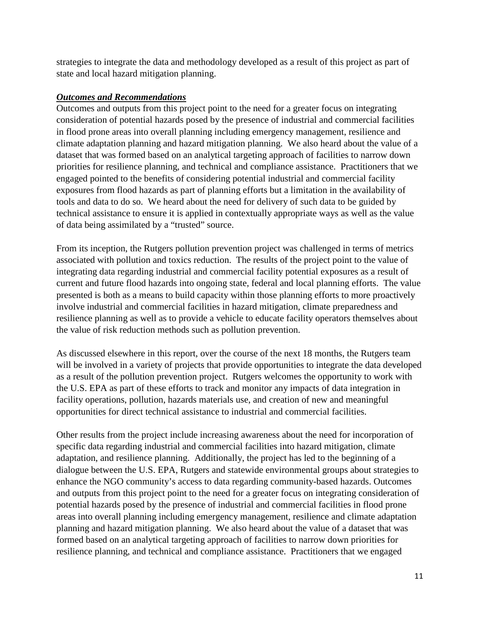strategies to integrate the data and methodology developed as a result of this project as part of state and local hazard mitigation planning.

### *Outcomes and Recommendations*

Outcomes and outputs from this project point to the need for a greater focus on integrating consideration of potential hazards posed by the presence of industrial and commercial facilities in flood prone areas into overall planning including emergency management, resilience and climate adaptation planning and hazard mitigation planning. We also heard about the value of a dataset that was formed based on an analytical targeting approach of facilities to narrow down priorities for resilience planning, and technical and compliance assistance. Practitioners that we engaged pointed to the benefits of considering potential industrial and commercial facility exposures from flood hazards as part of planning efforts but a limitation in the availability of tools and data to do so. We heard about the need for delivery of such data to be guided by technical assistance to ensure it is applied in contextually appropriate ways as well as the value of data being assimilated by a "trusted" source.

From its inception, the Rutgers pollution prevention project was challenged in terms of metrics associated with pollution and toxics reduction. The results of the project point to the value of integrating data regarding industrial and commercial facility potential exposures as a result of current and future flood hazards into ongoing state, federal and local planning efforts. The value presented is both as a means to build capacity within those planning efforts to more proactively involve industrial and commercial facilities in hazard mitigation, climate preparedness and resilience planning as well as to provide a vehicle to educate facility operators themselves about the value of risk reduction methods such as pollution prevention.

As discussed elsewhere in this report, over the course of the next 18 months, the Rutgers team will be involved in a variety of projects that provide opportunities to integrate the data developed as a result of the pollution prevention project. Rutgers welcomes the opportunity to work with the U.S. EPA as part of these efforts to track and monitor any impacts of data integration in facility operations, pollution, hazards materials use, and creation of new and meaningful opportunities for direct technical assistance to industrial and commercial facilities.

Other results from the project include increasing awareness about the need for incorporation of specific data regarding industrial and commercial facilities into hazard mitigation, climate adaptation, and resilience planning. Additionally, the project has led to the beginning of a dialogue between the U.S. EPA, Rutgers and statewide environmental groups about strategies to enhance the NGO community's access to data regarding community-based hazards. Outcomes and outputs from this project point to the need for a greater focus on integrating consideration of potential hazards posed by the presence of industrial and commercial facilities in flood prone areas into overall planning including emergency management, resilience and climate adaptation planning and hazard mitigation planning. We also heard about the value of a dataset that was formed based on an analytical targeting approach of facilities to narrow down priorities for resilience planning, and technical and compliance assistance. Practitioners that we engaged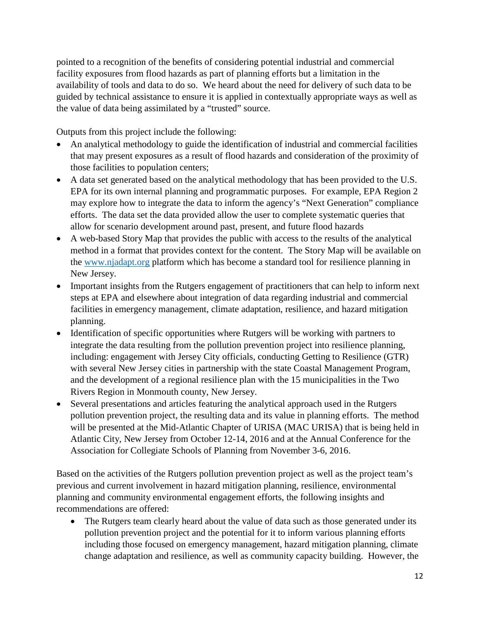pointed to a recognition of the benefits of considering potential industrial and commercial facility exposures from flood hazards as part of planning efforts but a limitation in the availability of tools and data to do so. We heard about the need for delivery of such data to be guided by technical assistance to ensure it is applied in contextually appropriate ways as well as the value of data being assimilated by a "trusted" source.

Outputs from this project include the following:

- An analytical methodology to guide the identification of industrial and commercial facilities that may present exposures as a result of flood hazards and consideration of the proximity of those facilities to population centers;
- A data set generated based on the analytical methodology that has been provided to the U.S. EPA for its own internal planning and programmatic purposes. For example, EPA Region 2 may explore how to integrate the data to inform the agency's "Next Generation" compliance efforts. The data set the data provided allow the user to complete systematic queries that allow for scenario development around past, present, and future flood hazards
- A web-based Story Map that provides the public with access to the results of the analytical method in a format that provides context for the content. The Story Map will be available on the [www.njadapt.org](http://www.njadapt.org/) platform which has become a standard tool for resilience planning in New Jersey.
- Important insights from the Rutgers engagement of practitioners that can help to inform next steps at EPA and elsewhere about integration of data regarding industrial and commercial facilities in emergency management, climate adaptation, resilience, and hazard mitigation planning.
- Identification of specific opportunities where Rutgers will be working with partners to integrate the data resulting from the pollution prevention project into resilience planning, including: engagement with Jersey City officials, conducting Getting to Resilience (GTR) with several New Jersey cities in partnership with the state Coastal Management Program, and the development of a regional resilience plan with the 15 municipalities in the Two Rivers Region in Monmouth county, New Jersey.
- Several presentations and articles featuring the analytical approach used in the Rutgers pollution prevention project, the resulting data and its value in planning efforts. The method will be presented at the Mid-Atlantic Chapter of URISA (MAC URISA) that is being held in Atlantic City, New Jersey from October 12-14, 2016 and at the Annual Conference for the Association for Collegiate Schools of Planning from November 3-6, 2016.

Based on the activities of the Rutgers pollution prevention project as well as the project team's previous and current involvement in hazard mitigation planning, resilience, environmental planning and community environmental engagement efforts, the following insights and recommendations are offered:

The Rutgers team clearly heard about the value of data such as those generated under its pollution prevention project and the potential for it to inform various planning efforts including those focused on emergency management, hazard mitigation planning, climate change adaptation and resilience, as well as community capacity building. However, the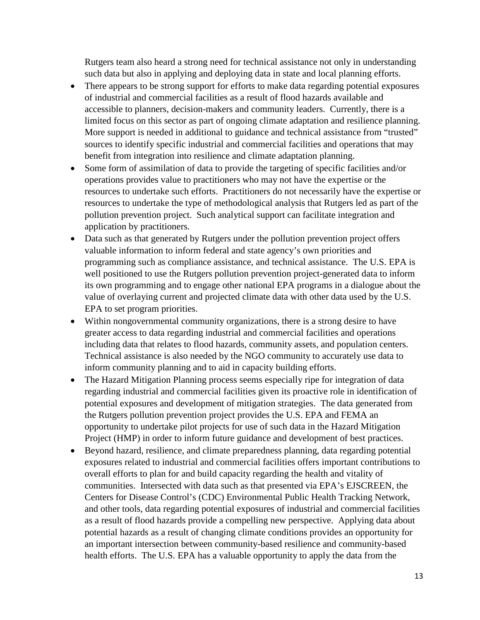Rutgers team also heard a strong need for technical assistance not only in understanding such data but also in applying and deploying data in state and local planning efforts.

- There appears to be strong support for efforts to make data regarding potential exposures of industrial and commercial facilities as a result of flood hazards available and accessible to planners, decision-makers and community leaders. Currently, there is a limited focus on this sector as part of ongoing climate adaptation and resilience planning. More support is needed in additional to guidance and technical assistance from "trusted" sources to identify specific industrial and commercial facilities and operations that may benefit from integration into resilience and climate adaptation planning.
- Some form of assimilation of data to provide the targeting of specific facilities and/or operations provides value to practitioners who may not have the expertise or the resources to undertake such efforts. Practitioners do not necessarily have the expertise or resources to undertake the type of methodological analysis that Rutgers led as part of the pollution prevention project. Such analytical support can facilitate integration and application by practitioners.
- Data such as that generated by Rutgers under the pollution prevention project offers valuable information to inform federal and state agency's own priorities and programming such as compliance assistance, and technical assistance. The U.S. EPA is well positioned to use the Rutgers pollution prevention project-generated data to inform its own programming and to engage other national EPA programs in a dialogue about the value of overlaying current and projected climate data with other data used by the U.S. EPA to set program priorities.
- Within nongovernmental community organizations, there is a strong desire to have greater access to data regarding industrial and commercial facilities and operations including data that relates to flood hazards, community assets, and population centers. Technical assistance is also needed by the NGO community to accurately use data to inform community planning and to aid in capacity building efforts.
- The Hazard Mitigation Planning process seems especially ripe for integration of data regarding industrial and commercial facilities given its proactive role in identification of potential exposures and development of mitigation strategies. The data generated from the Rutgers pollution prevention project provides the U.S. EPA and FEMA an opportunity to undertake pilot projects for use of such data in the Hazard Mitigation Project (HMP) in order to inform future guidance and development of best practices.
- Beyond hazard, resilience, and climate preparedness planning, data regarding potential exposures related to industrial and commercial facilities offers important contributions to overall efforts to plan for and build capacity regarding the health and vitality of communities. Intersected with data such as that presented via EPA's EJSCREEN, the Centers for Disease Control's (CDC) Environmental Public Health Tracking Network, and other tools, data regarding potential exposures of industrial and commercial facilities as a result of flood hazards provide a compelling new perspective. Applying data about potential hazards as a result of changing climate conditions provides an opportunity for an important intersection between community-based resilience and community-based health efforts. The U.S. EPA has a valuable opportunity to apply the data from the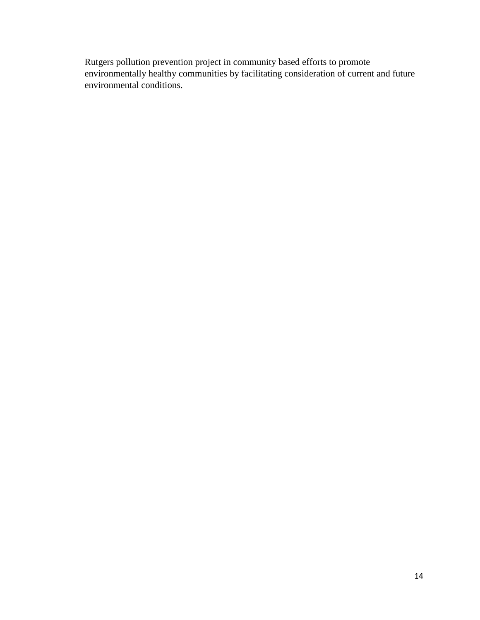Rutgers pollution prevention project in community based efforts to promote environmentally healthy communities by facilitating consideration of current and future environmental conditions.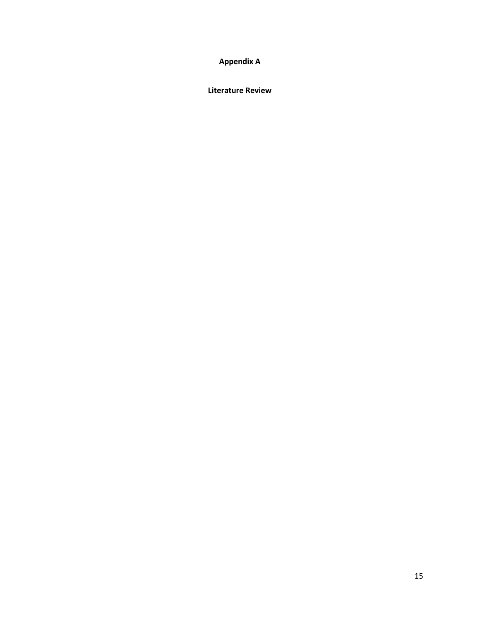## **Appendix A**

**Literature Review**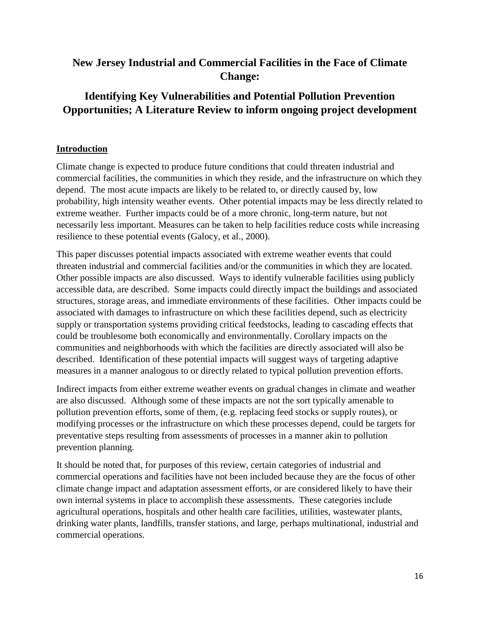## **New Jersey Industrial and Commercial Facilities in the Face of Climate Change:**

## **Identifying Key Vulnerabilities and Potential Pollution Prevention Opportunities; A Literature Review to inform ongoing project development**

#### **Introduction**

Climate change is expected to produce future conditions that could threaten industrial and commercial facilities, the communities in which they reside, and the infrastructure on which they depend. The most acute impacts are likely to be related to, or directly caused by, low probability, high intensity weather events. Other potential impacts may be less directly related to extreme weather. Further impacts could be of a more chronic, long-term nature, but not necessarily less important. Measures can be taken to help facilities reduce costs while increasing resilience to these potential events (Galocy, et al., 2000).

This paper discusses potential impacts associated with extreme weather events that could threaten industrial and commercial facilities and/or the communities in which they are located. Other possible impacts are also discussed. Ways to identify vulnerable facilities using publicly accessible data, are described. Some impacts could directly impact the buildings and associated structures, storage areas, and immediate environments of these facilities. Other impacts could be associated with damages to infrastructure on which these facilities depend, such as electricity supply or transportation systems providing critical feedstocks, leading to cascading effects that could be troublesome both economically and environmentally. Corollary impacts on the communities and neighborhoods with which the facilities are directly associated will also be described. Identification of these potential impacts will suggest ways of targeting adaptive measures in a manner analogous to or directly related to typical pollution prevention efforts.

Indirect impacts from either extreme weather events on gradual changes in climate and weather are also discussed. Although some of these impacts are not the sort typically amenable to pollution prevention efforts, some of them, (e.g. replacing feed stocks or supply routes), or modifying processes or the infrastructure on which these processes depend, could be targets for preventative steps resulting from assessments of processes in a manner akin to pollution prevention planning.

It should be noted that, for purposes of this review, certain categories of industrial and commercial operations and facilities have not been included because they are the focus of other climate change impact and adaptation assessment efforts, or are considered likely to have their own internal systems in place to accomplish these assessments. These categories include agricultural operations, hospitals and other health care facilities, utilities, wastewater plants, drinking water plants, landfills, transfer stations, and large, perhaps multinational, industrial and commercial operations.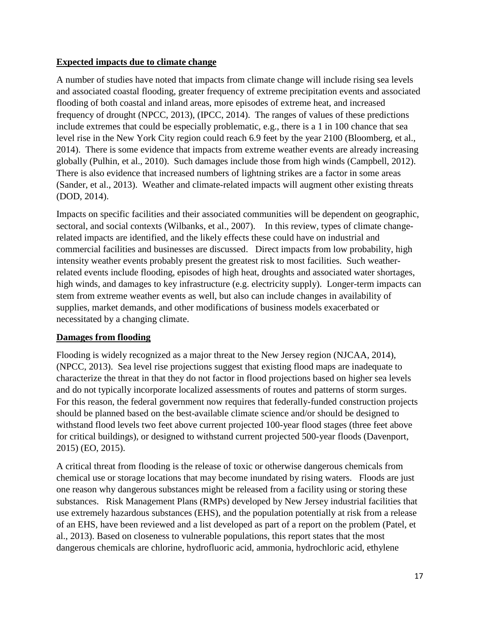## **Expected impacts due to climate change**

A number of studies have noted that impacts from climate change will include rising sea levels and associated coastal flooding, greater frequency of extreme precipitation events and associated flooding of both coastal and inland areas, more episodes of extreme heat, and increased frequency of drought (NPCC, 2013), (IPCC, 2014). The ranges of values of these predictions include extremes that could be especially problematic, e.g., there is a 1 in 100 chance that sea level rise in the New York City region could reach 6.9 feet by the year 2100 (Bloomberg, et al., 2014). There is some evidence that impacts from extreme weather events are already increasing globally (Pulhin, et al., 2010). Such damages include those from high winds (Campbell, 2012). There is also evidence that increased numbers of lightning strikes are a factor in some areas (Sander, et al., 2013). Weather and climate-related impacts will augment other existing threats (DOD, 2014).

Impacts on specific facilities and their associated communities will be dependent on geographic, sectoral, and social contexts (Wilbanks, et al., 2007). In this review, types of climate changerelated impacts are identified, and the likely effects these could have on industrial and commercial facilities and businesses are discussed. Direct impacts from low probability, high intensity weather events probably present the greatest risk to most facilities. Such weatherrelated events include flooding, episodes of high heat, droughts and associated water shortages, high winds, and damages to key infrastructure (e.g. electricity supply). Longer-term impacts can stem from extreme weather events as well, but also can include changes in availability of supplies, market demands, and other modifications of business models exacerbated or necessitated by a changing climate.

#### **Damages from flooding**

Flooding is widely recognized as a major threat to the New Jersey region (NJCAA, 2014), (NPCC, 2013). Sea level rise projections suggest that existing flood maps are inadequate to characterize the threat in that they do not factor in flood projections based on higher sea levels and do not typically incorporate localized assessments of routes and patterns of storm surges. For this reason, the federal government now requires that federally-funded construction projects should be planned based on the best-available climate science and/or should be designed to withstand flood levels two feet above current projected 100-year flood stages (three feet above for critical buildings), or designed to withstand current projected 500-year floods (Davenport, 2015) (EO, 2015).

A critical threat from flooding is the release of toxic or otherwise dangerous chemicals from chemical use or storage locations that may become inundated by rising waters. Floods are just one reason why dangerous substances might be released from a facility using or storing these substances. Risk Management Plans (RMPs) developed by New Jersey industrial facilities that use extremely hazardous substances (EHS), and the population potentially at risk from a release of an EHS, have been reviewed and a list developed as part of a report on the problem (Patel, et al., 2013). Based on closeness to vulnerable populations, this report states that the most dangerous chemicals are chlorine, hydrofluoric acid, ammonia, hydrochloric acid, ethylene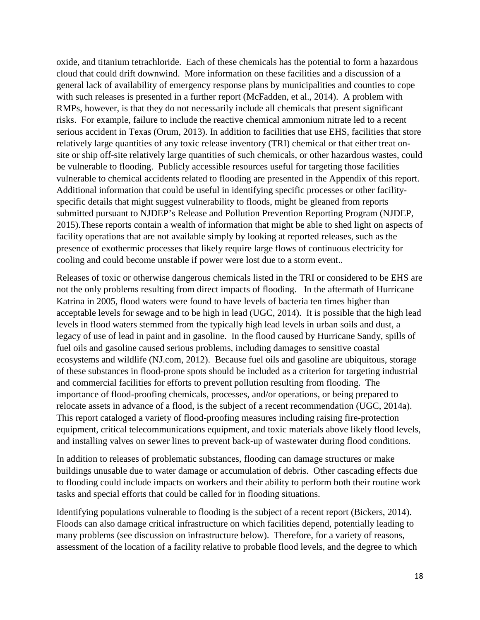oxide, and titanium tetrachloride. Each of these chemicals has the potential to form a hazardous cloud that could drift downwind. More information on these facilities and a discussion of a general lack of availability of emergency response plans by municipalities and counties to cope with such releases is presented in a further report (McFadden, et al., 2014). A problem with RMPs, however, is that they do not necessarily include all chemicals that present significant risks. For example, failure to include the reactive chemical ammonium nitrate led to a recent serious accident in Texas (Orum, 2013). In addition to facilities that use EHS, facilities that store relatively large quantities of any toxic release inventory (TRI) chemical or that either treat onsite or ship off-site relatively large quantities of such chemicals, or other hazardous wastes, could be vulnerable to flooding. Publicly accessible resources useful for targeting those facilities vulnerable to chemical accidents related to flooding are presented in the Appendix of this report. Additional information that could be useful in identifying specific processes or other facilityspecific details that might suggest vulnerability to floods, might be gleaned from reports submitted pursuant to NJDEP's Release and Pollution Prevention Reporting Program (NJDEP, 2015).These reports contain a wealth of information that might be able to shed light on aspects of facility operations that are not available simply by looking at reported releases, such as the presence of exothermic processes that likely require large flows of continuous electricity for cooling and could become unstable if power were lost due to a storm event..

Releases of toxic or otherwise dangerous chemicals listed in the TRI or considered to be EHS are not the only problems resulting from direct impacts of flooding. In the aftermath of Hurricane Katrina in 2005, flood waters were found to have levels of bacteria ten times higher than acceptable levels for sewage and to be high in lead (UGC, 2014). It is possible that the high lead levels in flood waters stemmed from the typically high lead levels in urban soils and dust, a legacy of use of lead in paint and in gasoline. In the flood caused by Hurricane Sandy, spills of fuel oils and gasoline caused serious problems, including damages to sensitive coastal ecosystems and wildlife (NJ.com, 2012). Because fuel oils and gasoline are ubiquitous, storage of these substances in flood-prone spots should be included as a criterion for targeting industrial and commercial facilities for efforts to prevent pollution resulting from flooding. The importance of flood-proofing chemicals, processes, and/or operations, or being prepared to relocate assets in advance of a flood, is the subject of a recent recommendation (UGC, 2014a). This report cataloged a variety of flood-proofing measures including raising fire-protection equipment, critical telecommunications equipment, and toxic materials above likely flood levels, and installing valves on sewer lines to prevent back-up of wastewater during flood conditions.

In addition to releases of problematic substances, flooding can damage structures or make buildings unusable due to water damage or accumulation of debris. Other cascading effects due to flooding could include impacts on workers and their ability to perform both their routine work tasks and special efforts that could be called for in flooding situations.

Identifying populations vulnerable to flooding is the subject of a recent report (Bickers, 2014). Floods can also damage critical infrastructure on which facilities depend, potentially leading to many problems (see discussion on infrastructure below). Therefore, for a variety of reasons, assessment of the location of a facility relative to probable flood levels, and the degree to which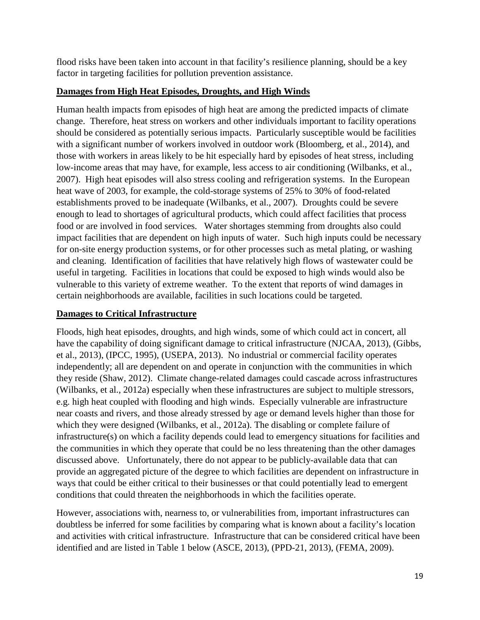flood risks have been taken into account in that facility's resilience planning, should be a key factor in targeting facilities for pollution prevention assistance.

## **Damages from High Heat Episodes, Droughts, and High Winds**

Human health impacts from episodes of high heat are among the predicted impacts of climate change. Therefore, heat stress on workers and other individuals important to facility operations should be considered as potentially serious impacts. Particularly susceptible would be facilities with a significant number of workers involved in outdoor work (Bloomberg, et al., 2014), and those with workers in areas likely to be hit especially hard by episodes of heat stress, including low-income areas that may have, for example, less access to air conditioning (Wilbanks, et al., 2007). High heat episodes will also stress cooling and refrigeration systems. In the European heat wave of 2003, for example, the cold-storage systems of 25% to 30% of food-related establishments proved to be inadequate (Wilbanks, et al., 2007). Droughts could be severe enough to lead to shortages of agricultural products, which could affect facilities that process food or are involved in food services. Water shortages stemming from droughts also could impact facilities that are dependent on high inputs of water. Such high inputs could be necessary for on-site energy production systems, or for other processes such as metal plating, or washing and cleaning. Identification of facilities that have relatively high flows of wastewater could be useful in targeting. Facilities in locations that could be exposed to high winds would also be vulnerable to this variety of extreme weather. To the extent that reports of wind damages in certain neighborhoods are available, facilities in such locations could be targeted.

## **Damages to Critical Infrastructure**

Floods, high heat episodes, droughts, and high winds, some of which could act in concert, all have the capability of doing significant damage to critical infrastructure (NJCAA, 2013), (Gibbs, et al., 2013), (IPCC, 1995), (USEPA, 2013). No industrial or commercial facility operates independently; all are dependent on and operate in conjunction with the communities in which they reside (Shaw, 2012). Climate change-related damages could cascade across infrastructures (Wilbanks, et al., 2012a) especially when these infrastructures are subject to multiple stressors, e.g. high heat coupled with flooding and high winds. Especially vulnerable are infrastructure near coasts and rivers, and those already stressed by age or demand levels higher than those for which they were designed (Wilbanks, et al., 2012a). The disabling or complete failure of infrastructure(s) on which a facility depends could lead to emergency situations for facilities and the communities in which they operate that could be no less threatening than the other damages discussed above. Unfortunately, there do not appear to be publicly-available data that can provide an aggregated picture of the degree to which facilities are dependent on infrastructure in ways that could be either critical to their businesses or that could potentially lead to emergent conditions that could threaten the neighborhoods in which the facilities operate.

However, associations with, nearness to, or vulnerabilities from, important infrastructures can doubtless be inferred for some facilities by comparing what is known about a facility's location and activities with critical infrastructure. Infrastructure that can be considered critical have been identified and are listed in Table 1 below (ASCE, 2013), (PPD-21, 2013), (FEMA, 2009).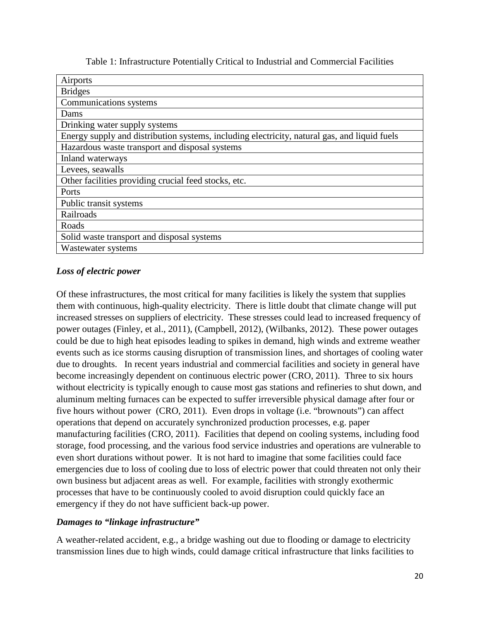| Table 1: Infrastructure Potentially Critical to Industrial and Commercial Facilities |
|--------------------------------------------------------------------------------------|
|--------------------------------------------------------------------------------------|

## *Loss of electric power*

Of these infrastructures, the most critical for many facilities is likely the system that supplies them with continuous, high-quality electricity. There is little doubt that climate change will put increased stresses on suppliers of electricity. These stresses could lead to increased frequency of power outages (Finley, et al., 2011), (Campbell, 2012), (Wilbanks, 2012). These power outages could be due to high heat episodes leading to spikes in demand, high winds and extreme weather events such as ice storms causing disruption of transmission lines, and shortages of cooling water due to droughts. In recent years industrial and commercial facilities and society in general have become increasingly dependent on continuous electric power (CRO, 2011). Three to six hours without electricity is typically enough to cause most gas stations and refineries to shut down, and aluminum melting furnaces can be expected to suffer irreversible physical damage after four or five hours without power (CRO, 2011). Even drops in voltage (i.e. "brownouts") can affect operations that depend on accurately synchronized production processes, e.g. paper manufacturing facilities (CRO, 2011). Facilities that depend on cooling systems, including food storage, food processing, and the various food service industries and operations are vulnerable to even short durations without power. It is not hard to imagine that some facilities could face emergencies due to loss of cooling due to loss of electric power that could threaten not only their own business but adjacent areas as well. For example, facilities with strongly exothermic processes that have to be continuously cooled to avoid disruption could quickly face an emergency if they do not have sufficient back-up power.

#### *Damages to "linkage infrastructure"*

A weather-related accident, e.g., a bridge washing out due to flooding or damage to electricity transmission lines due to high winds, could damage critical infrastructure that links facilities to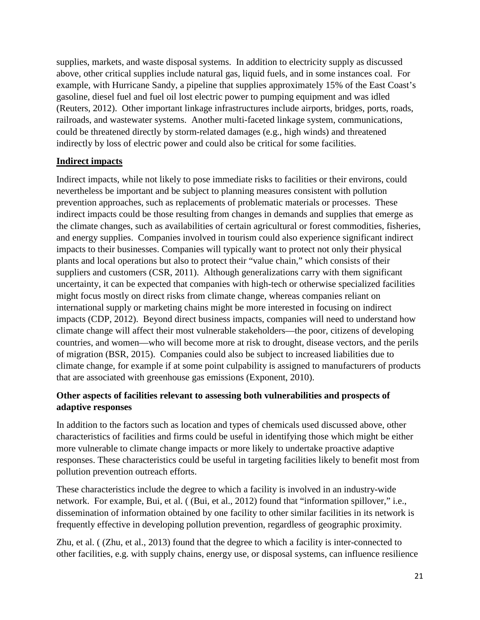supplies, markets, and waste disposal systems. In addition to electricity supply as discussed above, other critical supplies include natural gas, liquid fuels, and in some instances coal. For example, with Hurricane Sandy, a pipeline that supplies approximately 15% of the East Coast's gasoline, diesel fuel and fuel oil lost electric power to pumping equipment and was idled (Reuters, 2012). Other important linkage infrastructures include airports, bridges, ports, roads, railroads, and wastewater systems. Another multi-faceted linkage system, communications, could be threatened directly by storm-related damages (e.g., high winds) and threatened indirectly by loss of electric power and could also be critical for some facilities.

#### **Indirect impacts**

Indirect impacts, while not likely to pose immediate risks to facilities or their environs, could nevertheless be important and be subject to planning measures consistent with pollution prevention approaches, such as replacements of problematic materials or processes. These indirect impacts could be those resulting from changes in demands and supplies that emerge as the climate changes, such as availabilities of certain agricultural or forest commodities, fisheries, and energy supplies. Companies involved in tourism could also experience significant indirect impacts to their businesses. Companies will typically want to protect not only their physical plants and local operations but also to protect their "value chain," which consists of their suppliers and customers (CSR, 2011). Although generalizations carry with them significant uncertainty, it can be expected that companies with high-tech or otherwise specialized facilities might focus mostly on direct risks from climate change, whereas companies reliant on international supply or marketing chains might be more interested in focusing on indirect impacts (CDP, 2012). Beyond direct business impacts, companies will need to understand how climate change will affect their most vulnerable stakeholders—the poor, citizens of developing countries, and women—who will become more at risk to drought, disease vectors, and the perils of migration (BSR, 2015). Companies could also be subject to increased liabilities due to climate change, for example if at some point culpability is assigned to manufacturers of products that are associated with greenhouse gas emissions (Exponent, 2010).

## **Other aspects of facilities relevant to assessing both vulnerabilities and prospects of adaptive responses**

In addition to the factors such as location and types of chemicals used discussed above, other characteristics of facilities and firms could be useful in identifying those which might be either more vulnerable to climate change impacts or more likely to undertake proactive adaptive responses. These characteristics could be useful in targeting facilities likely to benefit most from pollution prevention outreach efforts.

These characteristics include the degree to which a facility is involved in an industry-wide network. For example, Bui, et al. ( (Bui, et al., 2012) found that "information spillover," i.e., dissemination of information obtained by one facility to other similar facilities in its network is frequently effective in developing pollution prevention, regardless of geographic proximity.

Zhu, et al. ( (Zhu, et al., 2013) found that the degree to which a facility is inter-connected to other facilities, e.g. with supply chains, energy use, or disposal systems, can influence resilience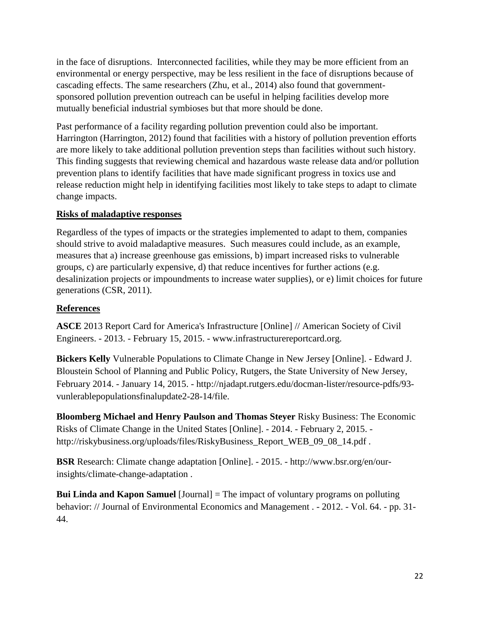in the face of disruptions. Interconnected facilities, while they may be more efficient from an environmental or energy perspective, may be less resilient in the face of disruptions because of cascading effects. The same researchers (Zhu, et al., 2014) also found that governmentsponsored pollution prevention outreach can be useful in helping facilities develop more mutually beneficial industrial symbioses but that more should be done.

Past performance of a facility regarding pollution prevention could also be important. Harrington (Harrington, 2012) found that facilities with a history of pollution prevention efforts are more likely to take additional pollution prevention steps than facilities without such history. This finding suggests that reviewing chemical and hazardous waste release data and/or pollution prevention plans to identify facilities that have made significant progress in toxics use and release reduction might help in identifying facilities most likely to take steps to adapt to climate change impacts.

## **Risks of maladaptive responses**

Regardless of the types of impacts or the strategies implemented to adapt to them, companies should strive to avoid maladaptive measures. Such measures could include, as an example, measures that a) increase greenhouse gas emissions, b) impart increased risks to vulnerable groups, c) are particularly expensive, d) that reduce incentives for further actions (e.g. desalinization projects or impoundments to increase water supplies), or e) limit choices for future generations (CSR, 2011).

## **References**

**ASCE** 2013 Report Card for America's Infrastructure [Online] // American Society of Civil Engineers. - 2013. - February 15, 2015. - www.infrastructurereportcard.org.

**Bickers Kelly** Vulnerable Populations to Climate Change in New Jersey [Online]. - Edward J. Bloustein School of Planning and Public Policy, Rutgers, the State University of New Jersey, February 2014. - January 14, 2015. - http://njadapt.rutgers.edu/docman-lister/resource-pdfs/93 vunlerablepopulationsfinalupdate2-28-14/file.

**Bloomberg Michael and Henry Paulson and Thomas Steyer** Risky Business: The Economic Risks of Climate Change in the United States [Online]. - 2014. - February 2, 2015. http://riskybusiness.org/uploads/files/RiskyBusiness\_Report\_WEB\_09\_08\_14.pdf .

**BSR** Research: Climate change adaptation [Online]. - 2015. - http://www.bsr.org/en/ourinsights/climate-change-adaptation .

**Bui Linda and Kapon Samuel** [Journal] = The impact of voluntary programs on polluting behavior: // Journal of Environmental Economics and Management . - 2012. - Vol. 64. - pp. 31- 44.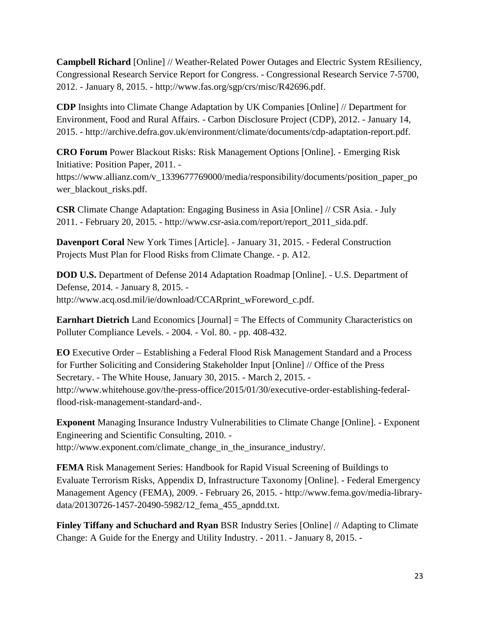**Campbell Richard** [Online] // Weather-Related Power Outages and Electric System REsiliency, Congressional Research Service Report for Congress. - Congressional Research Service 7-5700, 2012. - January 8, 2015. - http://www.fas.org/sgp/crs/misc/R42696.pdf.

**CDP** Insights into Climate Change Adaptation by UK Companies [Online] // Department for Environment, Food and Rural Affairs. - Carbon Disclosure Project (CDP), 2012. - January 14, 2015. - http://archive.defra.gov.uk/environment/climate/documents/cdp-adaptation-report.pdf.

**CRO Forum** Power Blackout Risks: Risk Management Options [Online]. - Emerging Risk Initiative: Position Paper, 2011. -

https://www.allianz.com/v\_1339677769000/media/responsibility/documents/position\_paper\_po wer\_blackout\_risks.pdf.

**CSR** Climate Change Adaptation: Engaging Business in Asia [Online] // CSR Asia. - July 2011. - February 20, 2015. - http://www.csr-asia.com/report/report\_2011\_sida.pdf.

**Davenport Coral** New York Times [Article]. - January 31, 2015. - Federal Construction Projects Must Plan for Flood Risks from Climate Change. - p. A12.

**DOD U.S.** Department of Defense 2014 Adaptation Roadmap [Online]. - U.S. Department of Defense, 2014. - January 8, 2015. http://www.acq.osd.mil/ie/download/CCARprint\_wForeword\_c.pdf.

**Earnhart Dietrich** Land Economics [Journal] = The Effects of Community Characteristics on Polluter Compliance Levels. - 2004. - Vol. 80. - pp. 408-432.

**EO** Executive Order – Establishing a Federal Flood Risk Management Standard and a Process for Further Soliciting and Considering Stakeholder Input [Online] // Office of the Press Secretary. - The White House, January 30, 2015. - March 2, 2015. http://www.whitehouse.gov/the-press-office/2015/01/30/executive-order-establishing-federalflood-risk-management-standard-and-.

**Exponent** Managing Insurance Industry Vulnerabilities to Climate Change [Online]. - Exponent Engineering and Scientific Consulting, 2010. http://www.exponent.com/climate\_change\_in\_the\_insurance\_industry/.

**FEMA** Risk Management Series: Handbook for Rapid Visual Screening of Buildings to Evaluate Terrorism Risks, Appendix D, Infrastructure Taxonomy [Online]. - Federal Emergency Management Agency (FEMA), 2009. - February 26, 2015. - http://www.fema.gov/media-librarydata/20130726-1457-20490-5982/12\_fema\_455\_apndd.txt.

**Finley Tiffany and Schuchard and Ryan** BSR Industry Series [Online] // Adapting to Climate Change: A Guide for the Energy and Utility Industry. - 2011. - January 8, 2015. -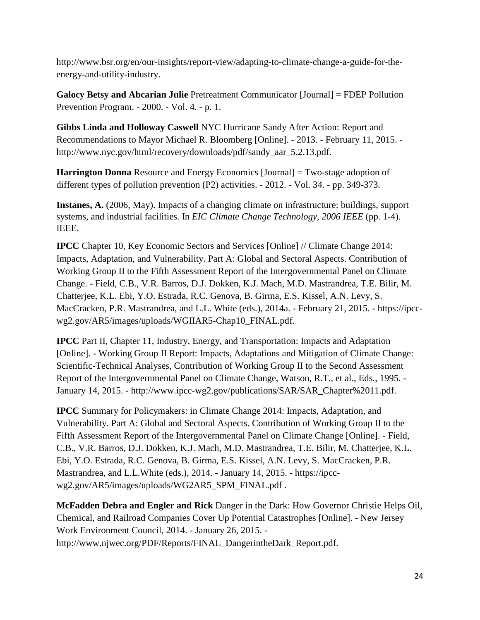http://www.bsr.org/en/our-insights/report-view/adapting-to-climate-change-a-guide-for-theenergy-and-utility-industry.

**Galocy Betsy and Abcarian Julie** Pretreatment Communicator [Journal] = FDEP Pollution Prevention Program. - 2000. - Vol. 4. - p. 1.

**Gibbs Linda and Holloway Caswell** NYC Hurricane Sandy After Action: Report and Recommendations to Mayor Michael R. Bloomberg [Online]. - 2013. - February 11, 2015. http://www.nyc.gov/html/recovery/downloads/pdf/sandy\_aar\_5.2.13.pdf.

**Harrington Donna** Resource and Energy Economics [Journal] = Two-stage adoption of different types of pollution prevention (P2) activities. - 2012. - Vol. 34. - pp. 349-373.

**Instanes, A.** (2006, May). Impacts of a changing climate on infrastructure: buildings, support systems, and industrial facilities. In *EIC Climate Change Technology, 2006 IEEE* (pp. 1-4). IEEE.

**IPCC** Chapter 10, Key Economic Sectors and Services [Online] // Climate Change 2014: Impacts, Adaptation, and Vulnerability. Part A: Global and Sectoral Aspects. Contribution of Working Group II to the Fifth Assessment Report of the Intergovernmental Panel on Climate Change. - Field, C.B., V.R. Barros, D.J. Dokken, K.J. Mach, M.D. Mastrandrea, T.E. Bilir, M. Chatterjee, K.L. Ebi, Y.O. Estrada, R.C. Genova, B. Girma, E.S. Kissel, A.N. Levy, S. MacCracken, P.R. Mastrandrea, and L.L. White (eds.), 2014a. - February 21, 2015. - https://ipccwg2.gov/AR5/images/uploads/WGIIAR5-Chap10\_FINAL.pdf.

**IPCC** Part II, Chapter 11, Industry, Energy, and Transportation: Impacts and Adaptation [Online]. - Working Group II Report: Impacts, Adaptations and Mitigation of Climate Change: Scientific-Technical Analyses, Contribution of Working Group II to the Second Assessment Report of the Intergovernmental Panel on Climate Change, Watson, R.T., et al., Eds., 1995. - January 14, 2015. - http://www.ipcc-wg2.gov/publications/SAR/SAR\_Chapter%2011.pdf.

**IPCC** Summary for Policymakers: in Climate Change 2014: Impacts, Adaptation, and Vulnerability. Part A: Global and Sectoral Aspects. Contribution of Working Group II to the Fifth Assessment Report of the Intergovernmental Panel on Climate Change [Online]. - Field, C.B., V.R. Barros, D.J. Dokken, K.J. Mach, M.D. Mastrandrea, T.E. Bilir, M. Chatterjee, K.L. Ebi, Y.O. Estrada, R.C. Genova, B. Girma, E.S. Kissel, A.N. Levy, S. MacCracken, P.R. Mastrandrea, and L.L.White (eds.), 2014. - January 14, 2015. - https://ipccwg2.gov/AR5/images/uploads/WG2AR5\_SPM\_FINAL.pdf .

**McFadden Debra and Engler and Rick** Danger in the Dark: How Governor Christie Helps Oil, Chemical, and Railroad Companies Cover Up Potential Catastrophes [Online]. - New Jersey Work Environment Council, 2014. - January 26, 2015. http://www.njwec.org/PDF/Reports/FINAL\_DangerintheDark\_Report.pdf.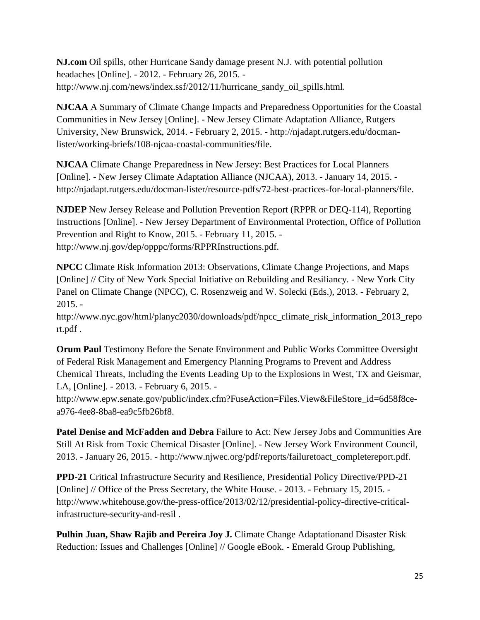**NJ.com** Oil spills, other Hurricane Sandy damage present N.J. with potential pollution headaches [Online]. - 2012. - February 26, 2015. http://www.nj.com/news/index.ssf/2012/11/hurricane\_sandy\_oil\_spills.html.

**NJCAA** A Summary of Climate Change Impacts and Preparedness Opportunities for the Coastal Communities in New Jersey [Online]. - New Jersey Climate Adaptation Alliance, Rutgers University, New Brunswick, 2014. - February 2, 2015. - http://njadapt.rutgers.edu/docmanlister/working-briefs/108-njcaa-coastal-communities/file.

**NJCAA** Climate Change Preparedness in New Jersey: Best Practices for Local Planners [Online]. - New Jersey Climate Adaptation Alliance (NJCAA), 2013. - January 14, 2015. http://njadapt.rutgers.edu/docman-lister/resource-pdfs/72-best-practices-for-local-planners/file.

**NJDEP** New Jersey Release and Pollution Prevention Report (RPPR or DEQ-114), Reporting Instructions [Online]. - New Jersey Department of Environmental Protection, Office of Pollution Prevention and Right to Know, 2015. - February 11, 2015. http://www.nj.gov/dep/opppc/forms/RPPRInstructions.pdf.

**NPCC** Climate Risk Information 2013: Observations, Climate Change Projections, and Maps [Online] // City of New York Special Initiative on Rebuilding and Resiliancy. - New York City Panel on Climate Change (NPCC), C. Rosenzweig and W. Solecki (Eds.), 2013. - February 2, 2015. -

http://www.nyc.gov/html/planyc2030/downloads/pdf/npcc\_climate\_risk\_information\_2013\_repo rt.pdf .

**Orum Paul** Testimony Before the Senate Environment and Public Works Committee Oversight of Federal Risk Management and Emergency Planning Programs to Prevent and Address Chemical Threats, Including the Events Leading Up to the Explosions in West, TX and Geismar, LA, [Online]. - 2013. - February 6, 2015. -

http://www.epw.senate.gov/public/index.cfm?FuseAction=Files.View&FileStore\_id=6d58f8cea976-4ee8-8ba8-ea9c5fb26bf8.

**Patel Denise and McFadden and Debra** Failure to Act: New Jersey Jobs and Communities Are Still At Risk from Toxic Chemical Disaster [Online]. - New Jersey Work Environment Council, 2013. - January 26, 2015. - http://www.njwec.org/pdf/reports/failuretoact\_completereport.pdf.

**PPD-21** Critical Infrastructure Security and Resilience, Presidential Policy Directive/PPD-21 [Online] // Office of the Press Secretary, the White House. - 2013. - February 15, 2015. http://www.whitehouse.gov/the-press-office/2013/02/12/presidential-policy-directive-criticalinfrastructure-security-and-resil .

**Pulhin Juan, Shaw Rajib and Pereira Joy J.** Climate Change Adaptationand Disaster Risk Reduction: Issues and Challenges [Online] // Google eBook. - Emerald Group Publishing,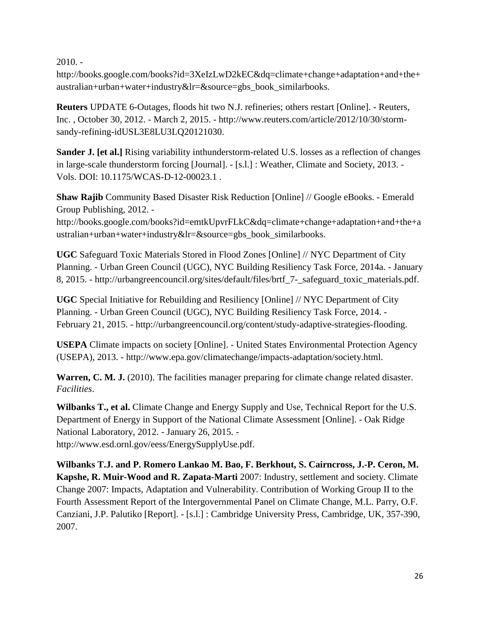$2010. -$ 

http://books.google.com/books?id=3XeIzLwD2kEC&dq=climate+change+adaptation+and+the+ australian+urban+water+industry&lr=&source=gbs\_book\_similarbooks.

**Reuters** UPDATE 6-Outages, floods hit two N.J. refineries; others restart [Online]. - Reuters, Inc. , October 30, 2012. - March 2, 2015. - http://www.reuters.com/article/2012/10/30/stormsandy-refining-idUSL3E8LU3LQ20121030.

**Sander J. [et al.]** Rising variability inthunderstorm-related U.S. losses as a reflection of changes in large-scale thunderstorm forcing [Journal]. - [s.l.] : Weather, Climate and Society, 2013. - Vols. DOI: 10.1175/WCAS-D-12-00023.1 .

**Shaw Rajib** Community Based Disaster Risk Reduction [Online] // Google eBooks. - Emerald Group Publishing, 2012. -

http://books.google.com/books?id=emtkUpvrFLkC&dq=climate+change+adaptation+and+the+a ustralian+urban+water+industry&lr=&source=gbs\_book\_similarbooks.

**UGC** Safeguard Toxic Materials Stored in Flood Zones [Online] // NYC Department of City Planning. - Urban Green Council (UGC), NYC Building Resiliency Task Force, 2014a. - January 8, 2015. - http://urbangreencouncil.org/sites/default/files/brtf\_7-\_safeguard\_toxic\_materials.pdf.

**UGC** Special Initiative for Rebuilding and Resiliency [Online] // NYC Department of City Planning. - Urban Green Council (UGC), NYC Building Resiliency Task Force, 2014. - February 21, 2015. - http://urbangreencouncil.org/content/study-adaptive-strategies-flooding.

**USEPA** Climate impacts on society [Online]. - United States Environmental Protection Agency (USEPA), 2013. - http://www.epa.gov/climatechange/impacts-adaptation/society.html.

Warren, C. M. J. (2010). The facilities manager preparing for climate change related disaster. *Facilities*.

**Wilbanks T., et al.** Climate Change and Energy Supply and Use, Technical Report for the U.S. Department of Energy in Support of the National Climate Assessment [Online]. - Oak Ridge National Laboratory, 2012. - January 26, 2015. http://www.esd.ornl.gov/eess/EnergySupplyUse.pdf.

**Wilbanks T.J. and P. Romero Lankao M. Bao, F. Berkhout, S. Cairncross, J.-P. Ceron, M. Kapshe, R. Muir-Wood and R. Zapata-Marti** 2007: Industry, settlement and society. Climate Change 2007: Impacts, Adaptation and Vulnerability. Contribution of Working Group II to the Fourth Assessment Report of the Intergovernmental Panel on Climate Change, M.L. Parry, O.F. Canziani, J.P. Palutiko [Report]. - [s.l.] : Cambridge University Press, Cambridge, UK, 357-390, 2007.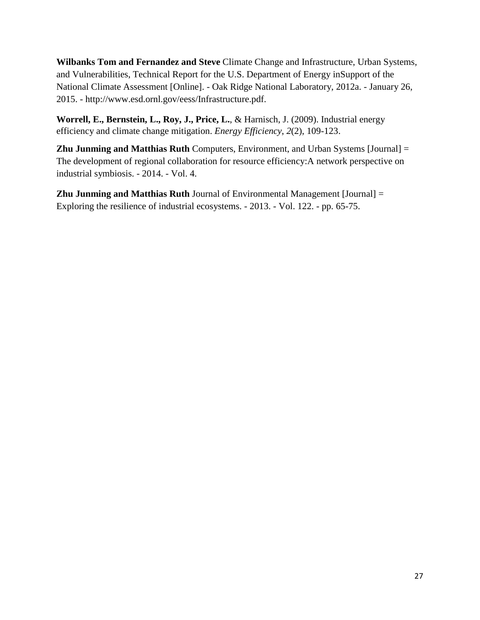**Wilbanks Tom and Fernandez and Steve** Climate Change and Infrastructure, Urban Systems, and Vulnerabilities, Technical Report for the U.S. Department of Energy inSupport of the National Climate Assessment [Online]. - Oak Ridge National Laboratory, 2012a. - January 26, 2015. - http://www.esd.ornl.gov/eess/Infrastructure.pdf.

**Worrell, E., Bernstein, L., Roy, J., Price, L.**, & Harnisch, J. (2009). Industrial energy efficiency and climate change mitigation. *Energy Efficiency*, *2*(2), 109-123.

**Zhu Junming and Matthias Ruth** Computers, Environment, and Urban Systems [Journal] = The development of regional collaboration for resource efficiency:A network perspective on industrial symbiosis. - 2014. - Vol. 4.

**Zhu Junming and Matthias Ruth** Journal of Environmental Management [Journal] = Exploring the resilience of industrial ecosystems. - 2013. - Vol. 122. - pp. 65-75.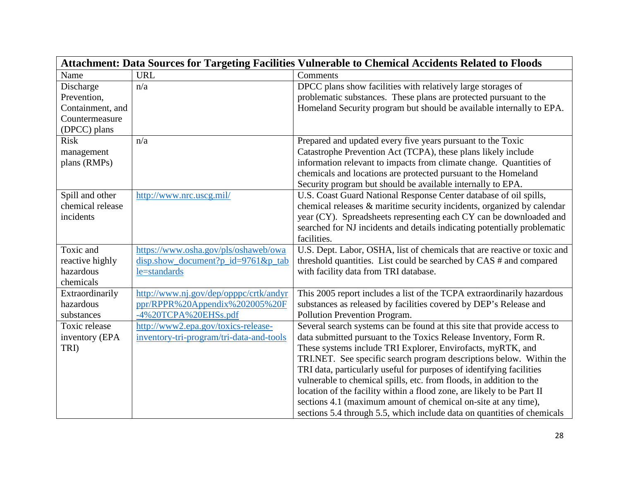| Attachment: Data Sources for Targeting Facilities Vulnerable to Chemical Accidents Related to Floods |                                          |                                                                          |  |  |
|------------------------------------------------------------------------------------------------------|------------------------------------------|--------------------------------------------------------------------------|--|--|
| Name                                                                                                 | <b>URL</b>                               | Comments                                                                 |  |  |
| Discharge                                                                                            | n/a                                      | DPCC plans show facilities with relatively large storages of             |  |  |
| Prevention,                                                                                          |                                          | problematic substances. These plans are protected pursuant to the        |  |  |
| Containment, and                                                                                     |                                          | Homeland Security program but should be available internally to EPA.     |  |  |
| Countermeasure                                                                                       |                                          |                                                                          |  |  |
| (DPCC) plans                                                                                         |                                          |                                                                          |  |  |
| <b>Risk</b>                                                                                          | n/a                                      | Prepared and updated every five years pursuant to the Toxic              |  |  |
| management                                                                                           |                                          | Catastrophe Prevention Act (TCPA), these plans likely include            |  |  |
| plans (RMPs)                                                                                         |                                          | information relevant to impacts from climate change. Quantities of       |  |  |
|                                                                                                      |                                          | chemicals and locations are protected pursuant to the Homeland           |  |  |
|                                                                                                      |                                          | Security program but should be available internally to EPA.              |  |  |
| Spill and other                                                                                      | http://www.nrc.uscg.mil/                 | U.S. Coast Guard National Response Center database of oil spills,        |  |  |
| chemical release                                                                                     |                                          | chemical releases & maritime security incidents, organized by calendar   |  |  |
| incidents                                                                                            |                                          | year (CY). Spreadsheets representing each CY can be downloaded and       |  |  |
|                                                                                                      |                                          | searched for NJ incidents and details indicating potentially problematic |  |  |
|                                                                                                      |                                          | facilities.                                                              |  |  |
| Toxic and                                                                                            | https://www.osha.gov/pls/oshaweb/owa     | U.S. Dept. Labor, OSHA, list of chemicals that are reactive or toxic and |  |  |
| reactive highly                                                                                      | disp.show_document?p_id=9761&p_tab       | threshold quantities. List could be searched by CAS # and compared       |  |  |
| hazardous                                                                                            | le=standards                             | with facility data from TRI database.                                    |  |  |
| chemicals                                                                                            |                                          |                                                                          |  |  |
| Extraordinarily                                                                                      | http://www.nj.gov/dep/opppc/crtk/andyr   | This 2005 report includes a list of the TCPA extraordinarily hazardous   |  |  |
| hazardous                                                                                            | ppr/RPPR%20Appendix%202005%20F           | substances as released by facilities covered by DEP's Release and        |  |  |
| substances                                                                                           | -4%20TCPA%20EHSs.pdf                     | Pollution Prevention Program.                                            |  |  |
| Toxic release                                                                                        | http://www2.epa.gov/toxics-release-      | Several search systems can be found at this site that provide access to  |  |  |
| inventory (EPA                                                                                       | inventory-tri-program/tri-data-and-tools | data submitted pursuant to the Toxics Release Inventory, Form R.         |  |  |
| TRI)                                                                                                 |                                          | These systems include TRI Explorer, Envirofacts, myRTK, and              |  |  |
|                                                                                                      |                                          | TRI.NET. See specific search program descriptions below. Within the      |  |  |
|                                                                                                      |                                          | TRI data, particularly useful for purposes of identifying facilities     |  |  |
|                                                                                                      |                                          | vulnerable to chemical spills, etc. from floods, in addition to the      |  |  |
|                                                                                                      |                                          | location of the facility within a flood zone, are likely to be Part II   |  |  |
|                                                                                                      |                                          | sections 4.1 (maximum amount of chemical on-site at any time),           |  |  |
|                                                                                                      |                                          | sections 5.4 through 5.5, which include data on quantities of chemicals  |  |  |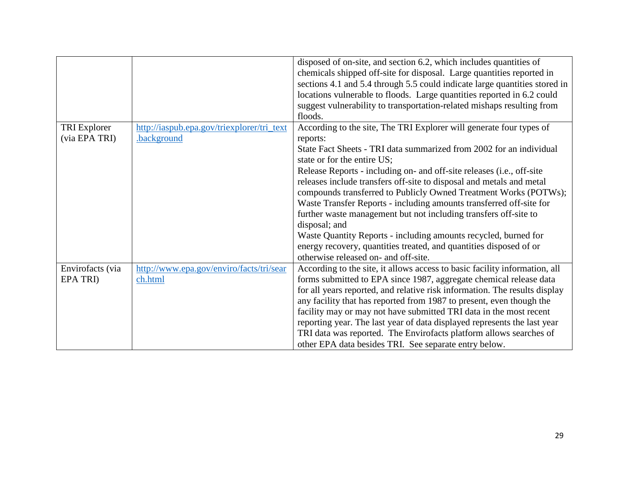|                     |                                            | disposed of on-site, and section 6.2, which includes quantities of         |
|---------------------|--------------------------------------------|----------------------------------------------------------------------------|
|                     |                                            | chemicals shipped off-site for disposal. Large quantities reported in      |
|                     |                                            | sections 4.1 and 5.4 through 5.5 could indicate large quantities stored in |
|                     |                                            | locations vulnerable to floods. Large quantities reported in 6.2 could     |
|                     |                                            | suggest vulnerability to transportation-related mishaps resulting from     |
|                     |                                            | floods.                                                                    |
| <b>TRI</b> Explorer | http://iaspub.epa.gov/triexplorer/tri_text | According to the site, The TRI Explorer will generate four types of        |
| (via EPA TRI)       | .background                                | reports:                                                                   |
|                     |                                            | State Fact Sheets - TRI data summarized from 2002 for an individual        |
|                     |                                            | state or for the entire US;                                                |
|                     |                                            | Release Reports - including on- and off-site releases (i.e., off-site      |
|                     |                                            | releases include transfers off-site to disposal and metals and metal       |
|                     |                                            | compounds transferred to Publicly Owned Treatment Works (POTWs);           |
|                     |                                            | Waste Transfer Reports - including amounts transferred off-site for        |
|                     |                                            | further waste management but not including transfers off-site to           |
|                     |                                            | disposal; and                                                              |
|                     |                                            | Waste Quantity Reports - including amounts recycled, burned for            |
|                     |                                            | energy recovery, quantities treated, and quantities disposed of or         |
|                     |                                            | otherwise released on- and off-site.                                       |
| Envirofacts (via    | http://www.epa.gov/enviro/facts/tri/sear   | According to the site, it allows access to basic facility information, all |
| EPA TRI)            | ch.html                                    | forms submitted to EPA since 1987, aggregate chemical release data         |
|                     |                                            | for all years reported, and relative risk information. The results display |
|                     |                                            | any facility that has reported from 1987 to present, even though the       |
|                     |                                            | facility may or may not have submitted TRI data in the most recent         |
|                     |                                            | reporting year. The last year of data displayed represents the last year   |
|                     |                                            | TRI data was reported. The Envirofacts platform allows searches of         |
|                     |                                            | other EPA data besides TRI. See separate entry below.                      |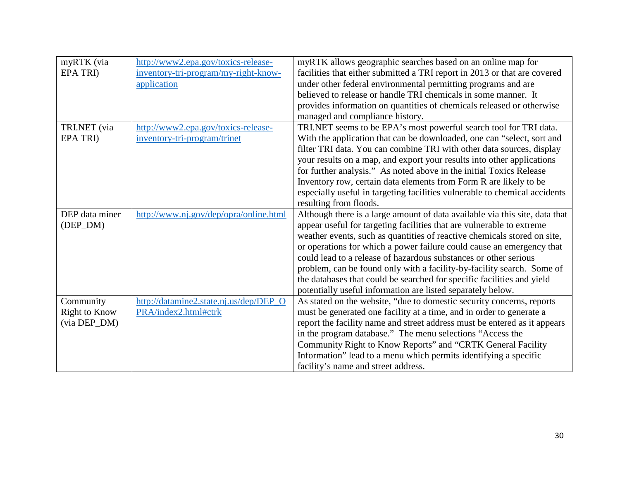| myRTK (via           | http://www2.epa.gov/toxics-release-    | myRTK allows geographic searches based on an online map for                 |
|----------------------|----------------------------------------|-----------------------------------------------------------------------------|
| <b>EPA TRI</b> )     | inventory-tri-program/my-right-know-   | facilities that either submitted a TRI report in 2013 or that are covered   |
|                      | application                            | under other federal environmental permitting programs and are               |
|                      |                                        | believed to release or handle TRI chemicals in some manner. It              |
|                      |                                        | provides information on quantities of chemicals released or otherwise       |
|                      |                                        | managed and compliance history.                                             |
| TRI.NET (via         | http://www2.epa.gov/toxics-release-    | TRI.NET seems to be EPA's most powerful search tool for TRI data.           |
| <b>EPA TRI</b> )     | inventory-tri-program/trinet           | With the application that can be downloaded, one can "select, sort and      |
|                      |                                        | filter TRI data. You can combine TRI with other data sources, display       |
|                      |                                        | your results on a map, and export your results into other applications      |
|                      |                                        | for further analysis." As noted above in the initial Toxics Release         |
|                      |                                        | Inventory row, certain data elements from Form R are likely to be           |
|                      |                                        | especially useful in targeting facilities vulnerable to chemical accidents  |
|                      |                                        | resulting from floods.                                                      |
| DEP data miner       | http://www.nj.gov/dep/opra/online.html | Although there is a large amount of data available via this site, data that |
| (DEP_DM)             |                                        | appear useful for targeting facilities that are vulnerable to extreme       |
|                      |                                        | weather events, such as quantities of reactive chemicals stored on site,    |
|                      |                                        | or operations for which a power failure could cause an emergency that       |
|                      |                                        | could lead to a release of hazardous substances or other serious            |
|                      |                                        | problem, can be found only with a facility-by-facility search. Some of      |
|                      |                                        | the databases that could be searched for specific facilities and yield      |
|                      |                                        | potentially useful information are listed separately below.                 |
| Community            | http://datamine2.state.nj.us/dep/DEP_O | As stated on the website, "due to domestic security concerns, reports       |
| <b>Right to Know</b> | PRA/index2.html#ctrk                   | must be generated one facility at a time, and in order to generate a        |
| (via DEP_DM)         |                                        | report the facility name and street address must be entered as it appears   |
|                      |                                        | in the program database." The menu selections "Access the                   |
|                      |                                        | Community Right to Know Reports" and "CRTK General Facility                 |
|                      |                                        | Information" lead to a menu which permits identifying a specific            |
|                      |                                        | facility's name and street address.                                         |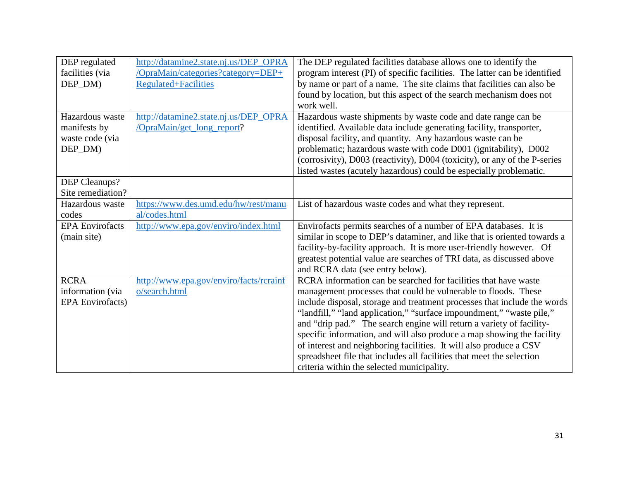| DEP regulated           | http://datamine2.state.nj.us/DEP_OPRA   | The DEP regulated facilities database allows one to identify the           |
|-------------------------|-----------------------------------------|----------------------------------------------------------------------------|
| facilities (via         | /OpraMain/categories?category=DEP+      | program interest (PI) of specific facilities. The latter can be identified |
| DEP_DM)                 | <b>Regulated+Facilities</b>             | by name or part of a name. The site claims that facilities can also be     |
|                         |                                         | found by location, but this aspect of the search mechanism does not        |
|                         |                                         | work well.                                                                 |
| Hazardous waste         | http://datamine2.state.nj.us/DEP_OPRA   | Hazardous waste shipments by waste code and date range can be              |
| manifests by            | /OpraMain/get_long_report?              | identified. Available data include generating facility, transporter,       |
| waste code (via         |                                         | disposal facility, and quantity. Any hazardous waste can be                |
| DEP_DM)                 |                                         | problematic; hazardous waste with code D001 (ignitability), D002           |
|                         |                                         | (corrosivity), D003 (reactivity), D004 (toxicity), or any of the P-series  |
|                         |                                         | listed wastes (acutely hazardous) could be especially problematic.         |
| DEP Cleanups?           |                                         |                                                                            |
| Site remediation?       |                                         |                                                                            |
| Hazardous waste         | https://www.des.umd.edu/hw/rest/manu    | List of hazardous waste codes and what they represent.                     |
| codes                   | al/codes.html                           |                                                                            |
| <b>EPA</b> Envirofacts  | http://www.epa.gov/enviro/index.html    | Envirofacts permits searches of a number of EPA databases. It is           |
| (main site)             |                                         | similar in scope to DEP's dataminer, and like that is oriented towards a   |
|                         |                                         | facility-by-facility approach. It is more user-friendly however. Of        |
|                         |                                         | greatest potential value are searches of TRI data, as discussed above      |
|                         |                                         | and RCRA data (see entry below).                                           |
| <b>RCRA</b>             | http://www.epa.gov/enviro/facts/rcrainf | RCRA information can be searched for facilities that have waste            |
| information (via        | o/search.html                           | management processes that could be vulnerable to floods. These             |
| <b>EPA</b> Envirofacts) |                                         | include disposal, storage and treatment processes that include the words   |
|                         |                                         | "landfill," "land application," "surface impoundment," "waste pile,"       |
|                         |                                         | and "drip pad." The search engine will return a variety of facility-       |
|                         |                                         | specific information, and will also produce a map showing the facility     |
|                         |                                         | of interest and neighboring facilities. It will also produce a CSV         |
|                         |                                         | spreadsheet file that includes all facilities that meet the selection      |
|                         |                                         | criteria within the selected municipality.                                 |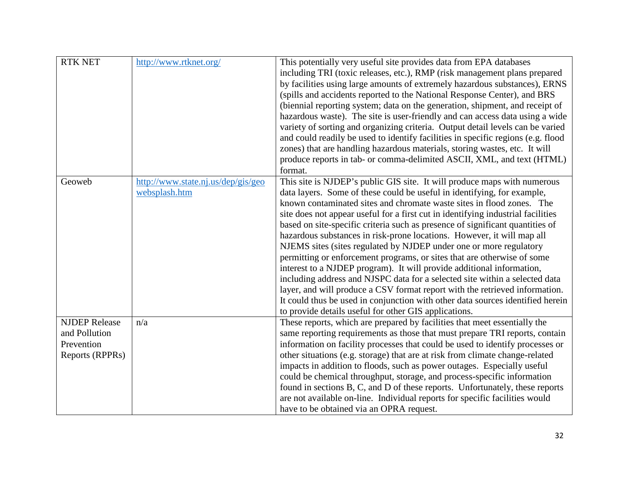| <b>RTK NET</b>       | http://www.rtknet.org/             | This potentially very useful site provides data from EPA databases               |
|----------------------|------------------------------------|----------------------------------------------------------------------------------|
|                      |                                    | including TRI (toxic releases, etc.), RMP (risk management plans prepared        |
|                      |                                    | by facilities using large amounts of extremely hazardous substances), ERNS       |
|                      |                                    | (spills and accidents reported to the National Response Center), and BRS         |
|                      |                                    | (biennial reporting system; data on the generation, shipment, and receipt of     |
|                      |                                    | hazardous waste). The site is user-friendly and can access data using a wide     |
|                      |                                    | variety of sorting and organizing criteria. Output detail levels can be varied   |
|                      |                                    | and could readily be used to identify facilities in specific regions (e.g. flood |
|                      |                                    | zones) that are handling hazardous materials, storing wastes, etc. It will       |
|                      |                                    | produce reports in tab- or comma-delimited ASCII, XML, and text (HTML)           |
|                      |                                    | format.                                                                          |
| Geoweb               | http://www.state.nj.us/dep/gis/geo | This site is NJDEP's public GIS site. It will produce maps with numerous         |
|                      | websplash.htm                      | data layers. Some of these could be useful in identifying, for example,          |
|                      |                                    | known contaminated sites and chromate waste sites in flood zones. The            |
|                      |                                    | site does not appear useful for a first cut in identifying industrial facilities |
|                      |                                    | based on site-specific criteria such as presence of significant quantities of    |
|                      |                                    | hazardous substances in risk-prone locations. However, it will map all           |
|                      |                                    | NJEMS sites (sites regulated by NJDEP under one or more regulatory               |
|                      |                                    | permitting or enforcement programs, or sites that are otherwise of some          |
|                      |                                    | interest to a NJDEP program). It will provide additional information,            |
|                      |                                    | including address and NJSPC data for a selected site within a selected data      |
|                      |                                    | layer, and will produce a CSV format report with the retrieved information.      |
|                      |                                    | It could thus be used in conjunction with other data sources identified herein   |
|                      |                                    | to provide details useful for other GIS applications.                            |
| <b>NJDEP Release</b> | n/a                                | These reports, which are prepared by facilities that meet essentially the        |
| and Pollution        |                                    | same reporting requirements as those that must prepare TRI reports, contain      |
| Prevention           |                                    | information on facility processes that could be used to identify processes or    |
| Reports (RPPRs)      |                                    | other situations (e.g. storage) that are at risk from climate change-related     |
|                      |                                    | impacts in addition to floods, such as power outages. Especially useful          |
|                      |                                    | could be chemical throughput, storage, and process-specific information          |
|                      |                                    | found in sections B, C, and D of these reports. Unfortunately, these reports     |
|                      |                                    | are not available on-line. Individual reports for specific facilities would      |
|                      |                                    | have to be obtained via an OPRA request.                                         |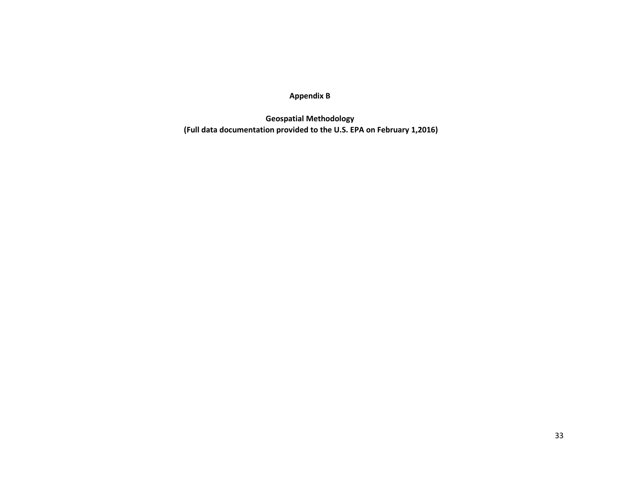**Appendix B**

**Geospatial Methodology (Full data documentation provided to the U.S. EPA on February 1,2016)**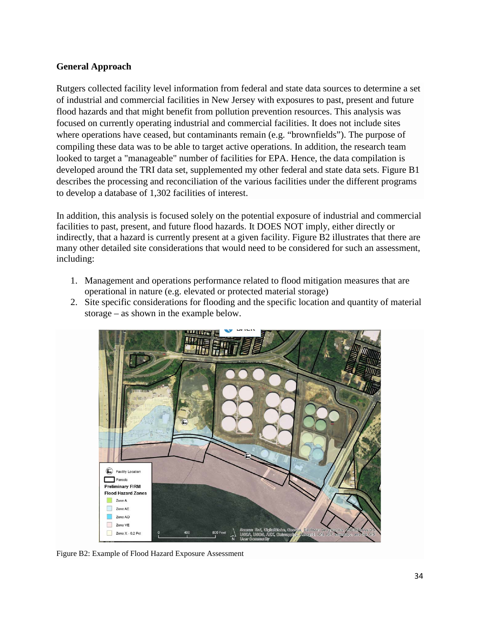### **General Approach**

Rutgers collected facility level information from federal and state data sources to determine a set of industrial and commercial facilities in New Jersey with exposures to past, present and future flood hazards and that might benefit from pollution prevention resources. This analysis was focused on currently operating industrial and commercial facilities. It does not include sites where operations have ceased, but contaminants remain (e.g. "brownfields"). The purpose of compiling these data was to be able to target active operations. In addition, the research team looked to target a "manageable" number of facilities for EPA. Hence, the data compilation is developed around the TRI data set, supplemented my other federal and state data sets. Figure B1 describes the processing and reconciliation of the various facilities under the different programs to develop a database of 1,302 facilities of interest.

In addition, this analysis is focused solely on the potential exposure of industrial and commercial facilities to past, present, and future flood hazards. It DOES NOT imply, either directly or indirectly, that a hazard is currently present at a given facility. Figure B2 illustrates that there are many other detailed site considerations that would need to be considered for such an assessment, including:

- 1. Management and operations performance related to flood mitigation measures that are operational in nature (e.g. elevated or protected material storage)
- 2. Site specific considerations for flooding and the specific location and quantity of material storage – as shown in the example below.



Figure B2: Example of Flood Hazard Exposure Assessment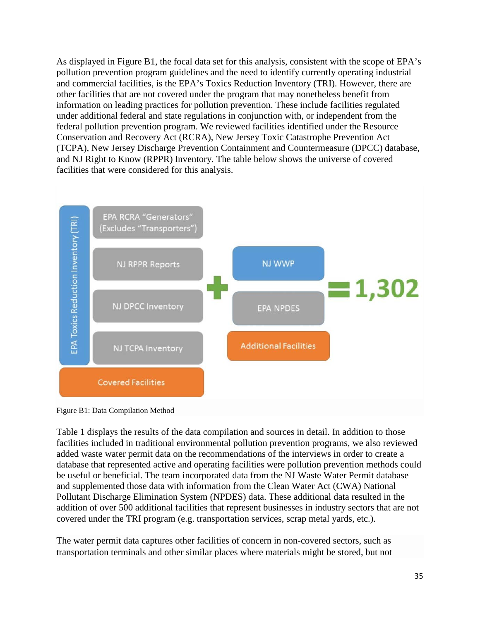As displayed in Figure B1, the focal data set for this analysis, consistent with the scope of EPA's pollution prevention program guidelines and the need to identify currently operating industrial and commercial facilities, is the EPA's Toxics Reduction Inventory (TRI). However, there are other facilities that are not covered under the program that may nonetheless benefit from information on leading practices for pollution prevention. These include facilities regulated under additional federal and state regulations in conjunction with, or independent from the federal pollution prevention program. We reviewed facilities identified under the Resource Conservation and Recovery Act (RCRA), New Jersey Toxic Catastrophe Prevention Act (TCPA), New Jersey Discharge Prevention Containment and Countermeasure (DPCC) database, and NJ Right to Know (RPPR) Inventory. The table below shows the universe of covered facilities that were considered for this analysis.



Figure B1: Data Compilation Method

Table 1 displays the results of the data compilation and sources in detail. In addition to those facilities included in traditional environmental pollution prevention programs, we also reviewed added waste water permit data on the recommendations of the interviews in order to create a database that represented active and operating facilities were pollution prevention methods could be useful or beneficial. The team incorporated data from the NJ Waste Water Permit database and supplemented those data with information from the Clean Water Act (CWA) National Pollutant Discharge Elimination System (NPDES) data. These additional data resulted in the addition of over 500 additional facilities that represent businesses in industry sectors that are not covered under the TRI program (e.g. transportation services, scrap metal yards, etc.).

The water permit data captures other facilities of concern in non-covered sectors, such as transportation terminals and other similar places where materials might be stored, but not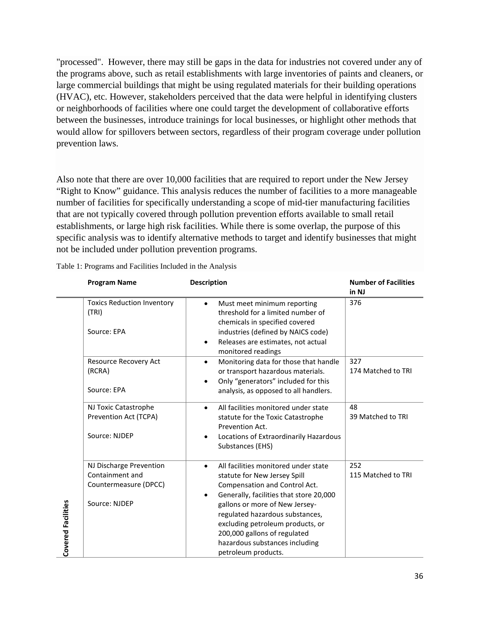"processed". However, there may still be gaps in the data for industries not covered under any of the programs above, such as retail establishments with large inventories of paints and cleaners, or large commercial buildings that might be using regulated materials for their building operations (HVAC), etc. However, stakeholders perceived that the data were helpful in identifying clusters or neighborhoods of facilities where one could target the development of collaborative efforts between the businesses, introduce trainings for local businesses, or highlight other methods that would allow for spillovers between sectors, regardless of their program coverage under pollution prevention laws.

Also note that there are over 10,000 facilities that are required to report under the New Jersey "Right to Know" guidance. This analysis reduces the number of facilities to a more manageable number of facilities for specifically understanding a scope of mid-tier manufacturing facilities that are not typically covered through pollution prevention efforts available to small retail establishments, or large high risk facilities. While there is some overlap, the purpose of this specific analysis was to identify alternative methods to target and identify businesses that might not be included under pollution prevention programs.

|  | Table 1: Programs and Facilities Included in the Analysis |  |  |  |  |
|--|-----------------------------------------------------------|--|--|--|--|
|  |                                                           |  |  |  |  |

|                           | <b>Program Name</b>                                                                  | <b>Description</b>                                                                                                                                                                                                                                                                                                                                              | <b>Number of Facilities</b><br>in NJ |
|---------------------------|--------------------------------------------------------------------------------------|-----------------------------------------------------------------------------------------------------------------------------------------------------------------------------------------------------------------------------------------------------------------------------------------------------------------------------------------------------------------|--------------------------------------|
|                           | <b>Toxics Reduction Inventory</b><br>(TRI)<br>Source: EPA                            | Must meet minimum reporting<br>$\bullet$<br>threshold for a limited number of<br>chemicals in specified covered<br>industries (defined by NAICS code)<br>Releases are estimates, not actual<br>$\bullet$<br>monitored readings                                                                                                                                  | 376                                  |
|                           | Resource Recovery Act<br>(RCRA)<br>Source: EPA                                       | Monitoring data for those that handle<br>$\bullet$<br>or transport hazardous materials.<br>Only "generators" included for this<br>$\bullet$<br>analysis, as opposed to all handlers.                                                                                                                                                                            | 327<br>174 Matched to TRI            |
|                           | NJ Toxic Catastrophe<br>Prevention Act (TCPA)<br>Source: NJDEP                       | All facilities monitored under state<br>$\bullet$<br>statute for the Toxic Catastrophe<br>Prevention Act.<br>Locations of Extraordinarily Hazardous<br>$\bullet$<br>Substances (EHS)                                                                                                                                                                            | 48<br>39 Matched to TRI              |
| <b>Covered Facilities</b> | NJ Discharge Prevention<br>Containment and<br>Countermeasure (DPCC)<br>Source: NJDEP | All facilities monitored under state<br>$\bullet$<br>statute for New Jersey Spill<br>Compensation and Control Act.<br>Generally, facilities that store 20,000<br>gallons or more of New Jersey-<br>regulated hazardous substances,<br>excluding petroleum products, or<br>200,000 gallons of regulated<br>hazardous substances including<br>petroleum products. | 252<br>115 Matched to TRI            |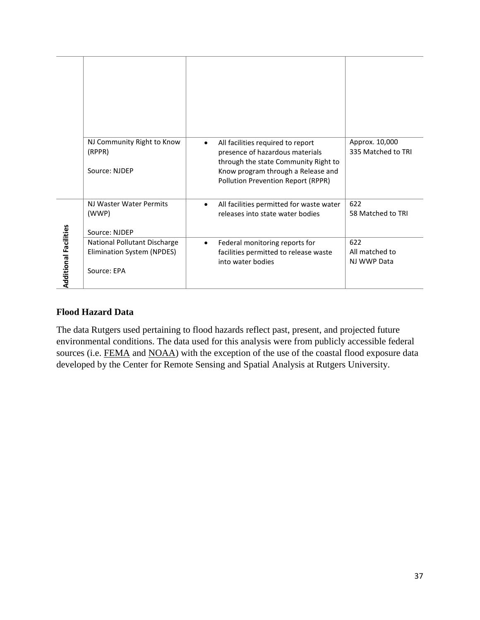|                              | NJ Community Right to Know<br>(RPPR)<br>Source: NJDEP                     | All facilities required to report<br>$\bullet$<br>presence of hazardous materials<br>through the state Community Right to<br>Know program through a Release and<br>Pollution Prevention Report (RPPR) | Approx. 10,000<br>335 Matched to TRI |
|------------------------------|---------------------------------------------------------------------------|-------------------------------------------------------------------------------------------------------------------------------------------------------------------------------------------------------|--------------------------------------|
|                              | NJ Waster Water Permits<br>(WWP)<br>Source: NJDEP                         | All facilities permitted for waste water<br>$\bullet$<br>releases into state water bodies                                                                                                             | 622<br>58 Matched to TRI             |
| <b>Additional Facilities</b> | National Pollutant Discharge<br>Elimination System (NPDES)<br>Source: EPA | Federal monitoring reports for<br>$\bullet$<br>facilities permitted to release waste<br>into water bodies                                                                                             | 622<br>All matched to<br>NJ WWP Data |

### **Flood Hazard Data**

The data Rutgers used pertaining to flood hazards reflect past, present, and projected future environmental conditions. The data used for this analysis were from publicly accessible federal sources (i.e. [FEMA](https://msc.fema.gov/portal) and [NOAA\)](https://coast.noaa.gov/dataviewer/) with the exception of the use of the coastal flood exposure data developed by the Center for Remote Sensing and Spatial Analysis at Rutgers University.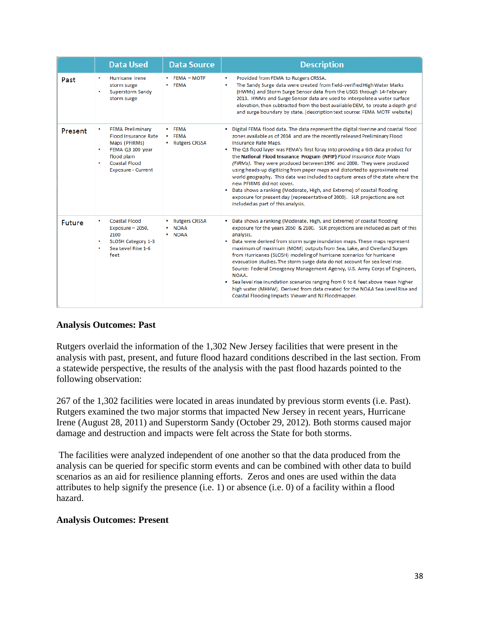|         | <b>Data Used</b>                                                                                                                                         | <b>Data Source</b>                             | <b>Description</b>                                                                                                                                                                                                                                                                                                                                                                                                                                                                                                                                                                                                                                                                                                                                                                                                                      |
|---------|----------------------------------------------------------------------------------------------------------------------------------------------------------|------------------------------------------------|-----------------------------------------------------------------------------------------------------------------------------------------------------------------------------------------------------------------------------------------------------------------------------------------------------------------------------------------------------------------------------------------------------------------------------------------------------------------------------------------------------------------------------------------------------------------------------------------------------------------------------------------------------------------------------------------------------------------------------------------------------------------------------------------------------------------------------------------|
| Past    | Hurricane Irene<br>٠<br>storm surge<br>Superstorm Sandy<br>storm surge                                                                                   | <b>FEMA - MOTE</b><br>• FEMA                   | Provided from FEMA to Rutgers CRSSA.<br>٠<br>The Sandy Surge data were created from field-verified High Water Marks<br>(HWMs) and Storm Surge Sensor data from the USGS through 14-February<br>2013. HWMs and Surge Sensor data are used to interpolate a water surface<br>elevation, then subtracted from the best available DEM, to create a depth grid<br>and surge boundary by state. (description text source: FEMA MOTF website)                                                                                                                                                                                                                                                                                                                                                                                                  |
| Present | <b>FEMA Preliminary</b><br><b>Flood Insurance Rate</b><br>Maps (PFIRMs)<br>FEMA Q3 100 year<br>flood plain<br><b>Coastal Flood</b><br>Exposure - Current | $\cdot$ FEMA<br>• FEMA<br>• Rutgers CRSSA      | . Digital FEMA flood data. The data represent the digital riverine and coastal flood<br>zones available as of 2014 and are the recently released Preliminary Flood<br><b>Insurance Rate Maps.</b><br>• The Q3 flood layer was FEMA's first foray into providing a GIS data product for<br>the National Flood Insurance Program (NFIP) Flood Insurance Rate Maps<br>(FIRMs). They were produced between 1996 and 2000. They were produced<br>using heads-up digitizing from paper maps and distorted to approximate real<br>world geography. This data was included to capture areas of the state where the<br>new PFIRMS did not cover.<br>• Data shows a ranking (Moderate, High, and Extreme) of coastal flooding<br>exposure for present day (representative of 2000). SLR projections are not<br>included as part of this analysis. |
| Future  | Coastal Flood<br>Exposure - 2050,<br>2100<br>SLOSH Category 1-3<br>Sea Level Rise 1-6<br>feet                                                            | • Rutgers CRSSA<br><b>NOAA</b><br>$\cdot$ NOAA | • Data shows a ranking (Moderate, High, and Extreme) of coastal flooding<br>exposure for the years 2050 & 2100. SLR projections are included as part of this<br>analysis.<br>• Data were derived from storm surge inundation maps. These maps represent<br>maximum of maximum (MOM) outputs from Sea, Lake, and Overland Surges<br>from Hurricanes (SLOSH) modeling of hurricane scenarios for hurricane<br>evacuation studies. The storm surge data do not account for sea level rise.<br>Source: Federal Emergency Management Agency, U.S. Army Corps of Engineers,<br>NOAA.<br>. Sea level rise inundation scenarios ranging from 0 to 6 feet above mean higher<br>high water (MHHW). Derived from data created for the NOAA Sea Level Rise and<br>Coastal Flooding Impacts Viewer and NJ Floodmapper.                               |

#### **Analysis Outcomes: Past**

Rutgers overlaid the information of the 1,302 New Jersey facilities that were present in the analysis with past, present, and future flood hazard conditions described in the last section. From a statewide perspective, the results of the analysis with the past flood hazards pointed to the following observation:

267 of the 1,302 facilities were located in areas inundated by previous storm events (i.e. Past). Rutgers examined the two major storms that impacted New Jersey in recent years, Hurricane Irene (August 28, 2011) and Superstorm Sandy (October 29, 2012). Both storms caused major damage and destruction and impacts were felt across the State for both storms.

The facilities were analyzed independent of one another so that the data produced from the analysis can be queried for specific storm events and can be combined with other data to build scenarios as an aid for resilience planning efforts. Zeros and ones are used within the data attributes to help signify the presence (i.e. 1) or absence (i.e. 0) of a facility within a flood hazard.

#### **Analysis Outcomes: Present**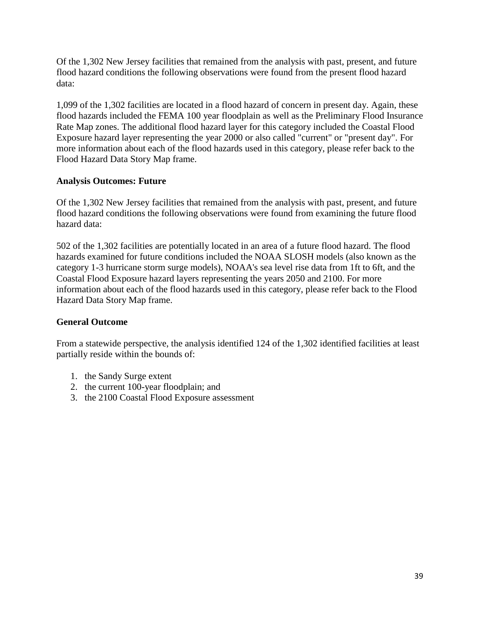Of the 1,302 New Jersey facilities that remained from the analysis with past, present, and future flood hazard conditions the following observations were found from the present flood hazard data:

1,099 of the 1,302 facilities are located in a flood hazard of concern in present day. Again, these flood hazards included the FEMA 100 year floodplain as well as the Preliminary Flood Insurance Rate Map zones. The additional flood hazard layer for this category included the Coastal Flood Exposure hazard layer representing the year 2000 or also called "current" or "present day". For more information about each of the flood hazards used in this category, please refer back to the Flood Hazard Data Story Map frame.

## **Analysis Outcomes: Future**

Of the 1,302 New Jersey facilities that remained from the analysis with past, present, and future flood hazard conditions the following observations were found from examining the future flood hazard data:

502 of the 1,302 facilities are potentially located in an area of a future flood hazard. The flood hazards examined for future conditions included the NOAA SLOSH models (also known as the category 1-3 hurricane storm surge models), NOAA's sea level rise data from 1ft to 6ft, and the Coastal Flood Exposure hazard layers representing the years 2050 and 2100. For more information about each of the flood hazards used in this category, please refer back to the Flood Hazard Data Story Map frame.

## **General Outcome**

From a statewide perspective, the analysis identified 124 of the 1,302 identified facilities at least partially reside within the bounds of:

- 1. the Sandy Surge extent
- 2. the current 100-year floodplain; and
- 3. the 2100 Coastal Flood Exposure assessment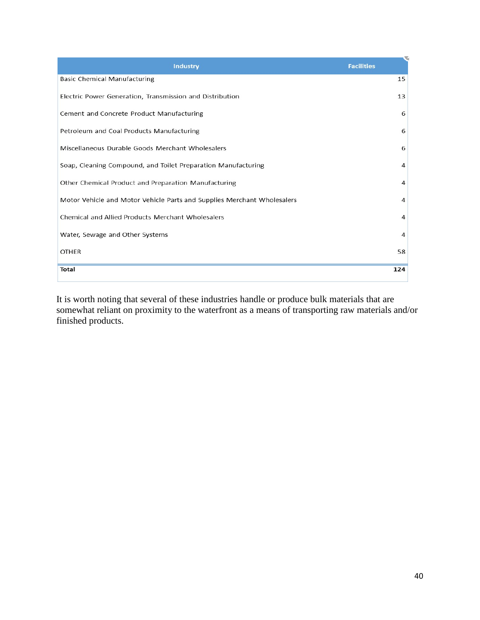| Industry                                                                | <b>Facilities</b> |
|-------------------------------------------------------------------------|-------------------|
| <b>Basic Chemical Manufacturing</b>                                     | 15                |
| Electric Power Generation, Transmission and Distribution                | 13                |
| Cement and Concrete Product Manufacturing                               | 6                 |
| Petroleum and Coal Products Manufacturing                               | 6                 |
| Miscellaneous Durable Goods Merchant Wholesalers                        | 6                 |
| Soap, Cleaning Compound, and Toilet Preparation Manufacturing           | 4                 |
| Other Chemical Product and Preparation Manufacturing                    | 4                 |
| Motor Vehicle and Motor Vehicle Parts and Supplies Merchant Wholesalers | 4                 |
| Chemical and Allied Products Merchant Wholesalers                       | 4                 |
| Water, Sewage and Other Systems                                         | 4                 |
| <b>OTHER</b>                                                            | 58                |
| <b>Total</b>                                                            | 124               |

It is worth noting that several of these industries handle or produce bulk materials that are somewhat reliant on proximity to the waterfront as a means of transporting raw materials and/or finished products.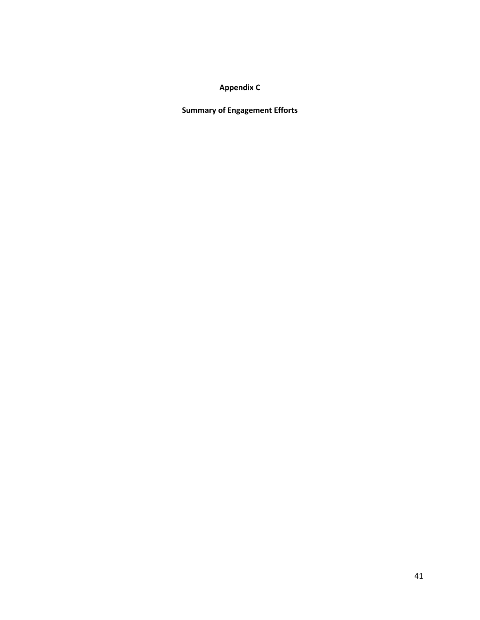## **Appendix C**

**Summary of Engagement Efforts**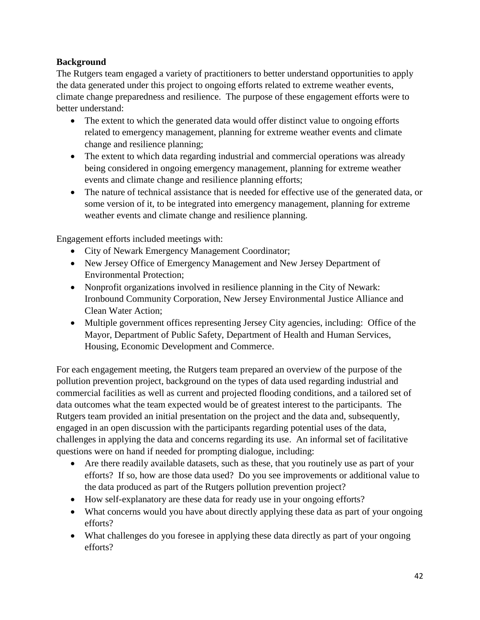## **Background**

The Rutgers team engaged a variety of practitioners to better understand opportunities to apply the data generated under this project to ongoing efforts related to extreme weather events, climate change preparedness and resilience. The purpose of these engagement efforts were to better understand:

- The extent to which the generated data would offer distinct value to ongoing efforts related to emergency management, planning for extreme weather events and climate change and resilience planning;
- The extent to which data regarding industrial and commercial operations was already being considered in ongoing emergency management, planning for extreme weather events and climate change and resilience planning efforts;
- The nature of technical assistance that is needed for effective use of the generated data, or some version of it, to be integrated into emergency management, planning for extreme weather events and climate change and resilience planning.

Engagement efforts included meetings with:

- City of Newark Emergency Management Coordinator;
- New Jersey Office of Emergency Management and New Jersey Department of Environmental Protection;
- Nonprofit organizations involved in resilience planning in the City of Newark: Ironbound Community Corporation, New Jersey Environmental Justice Alliance and Clean Water Action;
- Multiple government offices representing Jersey City agencies, including: Office of the Mayor, Department of Public Safety, Department of Health and Human Services, Housing, Economic Development and Commerce.

For each engagement meeting, the Rutgers team prepared an overview of the purpose of the pollution prevention project, background on the types of data used regarding industrial and commercial facilities as well as current and projected flooding conditions, and a tailored set of data outcomes what the team expected would be of greatest interest to the participants. The Rutgers team provided an initial presentation on the project and the data and, subsequently, engaged in an open discussion with the participants regarding potential uses of the data, challenges in applying the data and concerns regarding its use. An informal set of facilitative questions were on hand if needed for prompting dialogue, including:

- Are there readily available datasets, such as these, that you routinely use as part of your efforts? If so, how are those data used? Do you see improvements or additional value to the data produced as part of the Rutgers pollution prevention project?
- How self-explanatory are these data for ready use in your ongoing efforts?
- What concerns would you have about directly applying these data as part of your ongoing efforts?
- What challenges do you foresee in applying these data directly as part of your ongoing efforts?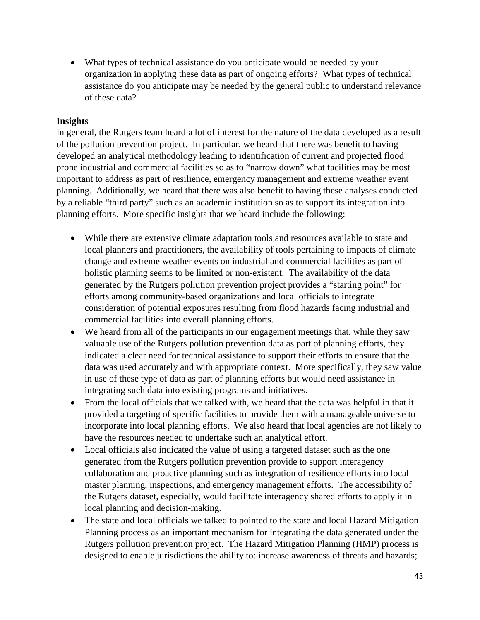• What types of technical assistance do you anticipate would be needed by your organization in applying these data as part of ongoing efforts? What types of technical assistance do you anticipate may be needed by the general public to understand relevance of these data?

#### **Insights**

In general, the Rutgers team heard a lot of interest for the nature of the data developed as a result of the pollution prevention project. In particular, we heard that there was benefit to having developed an analytical methodology leading to identification of current and projected flood prone industrial and commercial facilities so as to "narrow down" what facilities may be most important to address as part of resilience, emergency management and extreme weather event planning. Additionally, we heard that there was also benefit to having these analyses conducted by a reliable "third party" such as an academic institution so as to support its integration into planning efforts. More specific insights that we heard include the following:

- While there are extensive climate adaptation tools and resources available to state and local planners and practitioners, the availability of tools pertaining to impacts of climate change and extreme weather events on industrial and commercial facilities as part of holistic planning seems to be limited or non-existent. The availability of the data generated by the Rutgers pollution prevention project provides a "starting point" for efforts among community-based organizations and local officials to integrate consideration of potential exposures resulting from flood hazards facing industrial and commercial facilities into overall planning efforts.
- We heard from all of the participants in our engagement meetings that, while they saw valuable use of the Rutgers pollution prevention data as part of planning efforts, they indicated a clear need for technical assistance to support their efforts to ensure that the data was used accurately and with appropriate context. More specifically, they saw value in use of these type of data as part of planning efforts but would need assistance in integrating such data into existing programs and initiatives.
- From the local officials that we talked with, we heard that the data was helpful in that it provided a targeting of specific facilities to provide them with a manageable universe to incorporate into local planning efforts. We also heard that local agencies are not likely to have the resources needed to undertake such an analytical effort.
- Local officials also indicated the value of using a targeted dataset such as the one generated from the Rutgers pollution prevention provide to support interagency collaboration and proactive planning such as integration of resilience efforts into local master planning, inspections, and emergency management efforts. The accessibility of the Rutgers dataset, especially, would facilitate interagency shared efforts to apply it in local planning and decision-making.
- The state and local officials we talked to pointed to the state and local Hazard Mitigation Planning process as an important mechanism for integrating the data generated under the Rutgers pollution prevention project. The Hazard Mitigation Planning (HMP) process is designed to enable jurisdictions the ability to: increase awareness of threats and hazards;